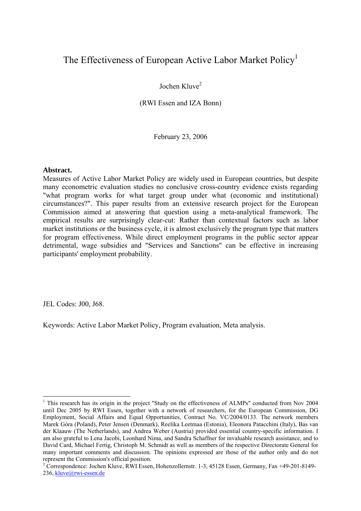# The Effectiveness of European Active Labor Market Policy<sup>1</sup>

Jochen Kluve<sup>2</sup>

(RWI Essen and IZA Bonn)

February 23, 2006

### **Abstract.**

Measures of Active Labor Market Policy are widely used in European countries, but despite many econometric evaluation studies no conclusive cross-country evidence exists regarding "what program works for what target group under what (economic and institutional) circumstances?". This paper results from an extensive research project for the European Commission aimed at answering that question using a meta-analytical framework. The empirical results are surprisingly clear-cut: Rather than contextual factors such as labor market institutions or the business cycle, it is almost exclusively the program type that matters for program effectiveness. While direct employment programs in the public sector appear detrimental, wage subsidies and "Services and Sanctions" can be effective in increasing participants' employment probability.

JEL Codes: J00, J68.

<u>.</u>

Keywords: Active Labor Market Policy, Program evaluation, Meta analysis.

<sup>&</sup>lt;sup>1</sup> This research has its origin in the project "Study on the effectiveness of ALMPs" conducted from Nov 2004 until Dec 2005 by RWI Essen, together with a network of researchers, for the European Commission, DG Employment, Social Affairs and Equal Opportunities, Contract No. VC/2004/0133. The network members Marek Góra (Poland), Peter Jensen (Denmark), Reelika Leetmaa (Estonia), Eleonora Patacchini (Italy), Bas van der Klaauw (The Netherlands), and Andrea Weber (Austria) provided essential country-specific information. I am also grateful to Lena Jacobi, Leonhard Nima, and Sandra Schaffner for invaluable research assistance, and to David Card, Michael Fertig, Christoph M. Schmidt as well as members of the respective Directorate General for many important comments and discussion. The opinions expressed are those of the author only and do not represent the Commission's official position.

<sup>&</sup>lt;sup>2</sup> Correspondence: Jochen Kluve, RWI Essen, Hohenzollernstr. 1-3, 45128 Essen, Germany, Fax +49-201-8149-236, kluve@rwi-essen.de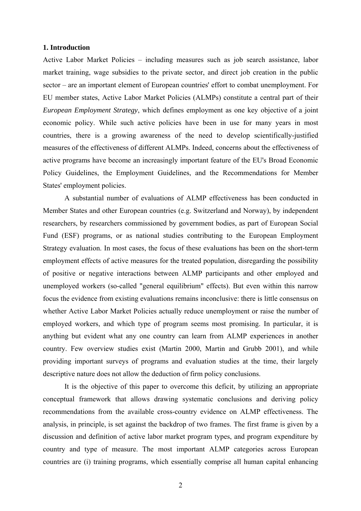#### **1. Introduction**

Active Labor Market Policies – including measures such as job search assistance, labor market training, wage subsidies to the private sector, and direct job creation in the public sector – are an important element of European countries' effort to combat unemployment. For EU member states, Active Labor Market Policies (ALMPs) constitute a central part of their *European Employment Strategy*, which defines employment as one key objective of a joint economic policy. While such active policies have been in use for many years in most countries, there is a growing awareness of the need to develop scientifically-justified measures of the effectiveness of different ALMPs. Indeed, concerns about the effectiveness of active programs have become an increasingly important feature of the EU's Broad Economic Policy Guidelines, the Employment Guidelines, and the Recommendations for Member States' employment policies.

A substantial number of evaluations of ALMP effectiveness has been conducted in Member States and other European countries (e.g. Switzerland and Norway), by independent researchers, by researchers commissioned by government bodies, as part of European Social Fund (ESF) programs, or as national studies contributing to the European Employment Strategy evaluation. In most cases, the focus of these evaluations has been on the short-term employment effects of active measures for the treated population, disregarding the possibility of positive or negative interactions between ALMP participants and other employed and unemployed workers (so-called "general equilibrium" effects). But even within this narrow focus the evidence from existing evaluations remains inconclusive: there is little consensus on whether Active Labor Market Policies actually reduce unemployment or raise the number of employed workers, and which type of program seems most promising. In particular, it is anything but evident what any one country can learn from ALMP experiences in another country. Few overview studies exist (Martin 2000, Martin and Grubb 2001), and while providing important surveys of programs and evaluation studies at the time, their largely descriptive nature does not allow the deduction of firm policy conclusions.

It is the objective of this paper to overcome this deficit, by utilizing an appropriate conceptual framework that allows drawing systematic conclusions and deriving policy recommendations from the available cross-country evidence on ALMP effectiveness. The analysis, in principle, is set against the backdrop of two frames. The first frame is given by a discussion and definition of active labor market program types, and program expenditure by country and type of measure. The most important ALMP categories across European countries are (i) training programs, which essentially comprise all human capital enhancing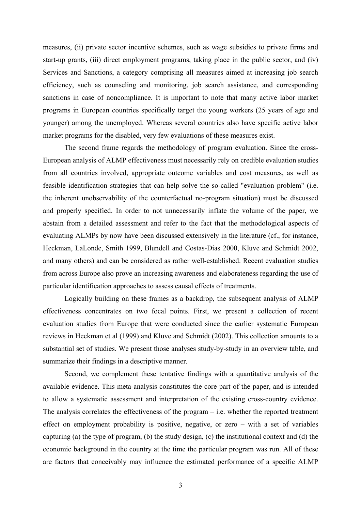measures, (ii) private sector incentive schemes, such as wage subsidies to private firms and start-up grants, (iii) direct employment programs, taking place in the public sector, and (iv) Services and Sanctions, a category comprising all measures aimed at increasing job search efficiency, such as counseling and monitoring, job search assistance, and corresponding sanctions in case of noncompliance. It is important to note that many active labor market programs in European countries specifically target the young workers (25 years of age and younger) among the unemployed. Whereas several countries also have specific active labor market programs for the disabled, very few evaluations of these measures exist.

The second frame regards the methodology of program evaluation. Since the cross-European analysis of ALMP effectiveness must necessarily rely on credible evaluation studies from all countries involved, appropriate outcome variables and cost measures, as well as feasible identification strategies that can help solve the so-called "evaluation problem" (i.e. the inherent unobservability of the counterfactual no-program situation) must be discussed and properly specified. In order to not unnecessarily inflate the volume of the paper, we abstain from a detailed assessment and refer to the fact that the methodological aspects of evaluating ALMPs by now have been discussed extensively in the literature (cf., for instance, Heckman, LaLonde, Smith 1999, Blundell and Costas-Dias 2000, Kluve and Schmidt 2002, and many others) and can be considered as rather well-established. Recent evaluation studies from across Europe also prove an increasing awareness and elaborateness regarding the use of particular identification approaches to assess causal effects of treatments.

Logically building on these frames as a backdrop, the subsequent analysis of ALMP effectiveness concentrates on two focal points. First, we present a collection of recent evaluation studies from Europe that were conducted since the earlier systematic European reviews in Heckman et al (1999) and Kluve and Schmidt (2002). This collection amounts to a substantial set of studies. We present those analyses study-by-study in an overview table, and summarize their findings in a descriptive manner.

Second, we complement these tentative findings with a quantitative analysis of the available evidence. This meta-analysis constitutes the core part of the paper, and is intended to allow a systematic assessment and interpretation of the existing cross-country evidence. The analysis correlates the effectiveness of the program – i.e. whether the reported treatment effect on employment probability is positive, negative, or zero – with a set of variables capturing (a) the type of program, (b) the study design, (c) the institutional context and (d) the economic background in the country at the time the particular program was run. All of these are factors that conceivably may influence the estimated performance of a specific ALMP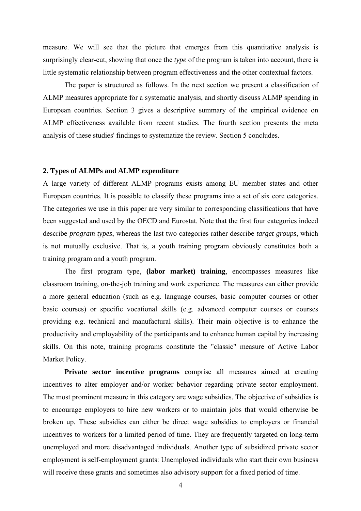measure. We will see that the picture that emerges from this quantitative analysis is surprisingly clear-cut, showing that once the *type* of the program is taken into account, there is little systematic relationship between program effectiveness and the other contextual factors.

The paper is structured as follows. In the next section we present a classification of ALMP measures appropriate for a systematic analysis, and shortly discuss ALMP spending in European countries. Section 3 gives a descriptive summary of the empirical evidence on ALMP effectiveness available from recent studies. The fourth section presents the meta analysis of these studies' findings to systematize the review. Section 5 concludes.

#### **2. Types of ALMPs and ALMP expenditure**

A large variety of different ALMP programs exists among EU member states and other European countries. It is possible to classify these programs into a set of six core categories. The categories we use in this paper are very similar to corresponding classifications that have been suggested and used by the OECD and Eurostat. Note that the first four categories indeed describe *program types*, whereas the last two categories rather describe *target groups*, which is not mutually exclusive. That is, a youth training program obviously constitutes both a training program and a youth program.

The first program type, **(labor market) training**, encompasses measures like classroom training, on-the-job training and work experience. The measures can either provide a more general education (such as e.g. language courses, basic computer courses or other basic courses) or specific vocational skills (e.g. advanced computer courses or courses providing e.g. technical and manufactural skills). Their main objective is to enhance the productivity and employability of the participants and to enhance human capital by increasing skills. On this note, training programs constitute the "classic" measure of Active Labor Market Policy.

**Private sector incentive programs** comprise all measures aimed at creating incentives to alter employer and/or worker behavior regarding private sector employment. The most prominent measure in this category are wage subsidies. The objective of subsidies is to encourage employers to hire new workers or to maintain jobs that would otherwise be broken up. These subsidies can either be direct wage subsidies to employers or financial incentives to workers for a limited period of time. They are frequently targeted on long-term unemployed and more disadvantaged individuals. Another type of subsidized private sector employment is self-employment grants: Unemployed individuals who start their own business will receive these grants and sometimes also advisory support for a fixed period of time.

4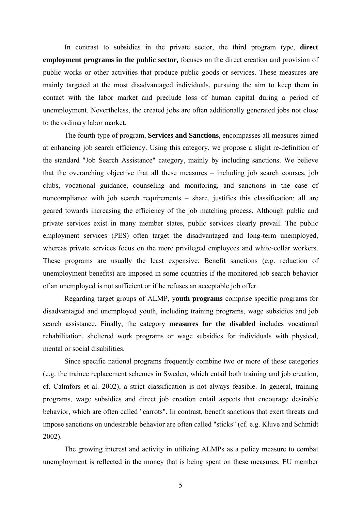In contrast to subsidies in the private sector, the third program type, **direct employment programs in the public sector,** focuses on the direct creation and provision of public works or other activities that produce public goods or services. These measures are mainly targeted at the most disadvantaged individuals, pursuing the aim to keep them in contact with the labor market and preclude loss of human capital during a period of unemployment. Nevertheless, the created jobs are often additionally generated jobs not close to the ordinary labor market.

The fourth type of program, **Services and Sanctions**, encompasses all measures aimed at enhancing job search efficiency. Using this category, we propose a slight re-definition of the standard "Job Search Assistance" category, mainly by including sanctions. We believe that the overarching objective that all these measures – including job search courses, job clubs, vocational guidance, counseling and monitoring, and sanctions in the case of noncompliance with job search requirements – share, justifies this classification: all are geared towards increasing the efficiency of the job matching process. Although public and private services exist in many member states, public services clearly prevail. The public employment services (PES) often target the disadvantaged and long-term unemployed, whereas private services focus on the more privileged employees and white-collar workers. These programs are usually the least expensive. Benefit sanctions (e.g. reduction of unemployment benefits) are imposed in some countries if the monitored job search behavior of an unemployed is not sufficient or if he refuses an acceptable job offer.

Regarding target groups of ALMP, y**outh programs** comprise specific programs for disadvantaged and unemployed youth, including training programs, wage subsidies and job search assistance. Finally, the category **measures for the disabled** includes vocational rehabilitation, sheltered work programs or wage subsidies for individuals with physical, mental or social disabilities.

Since specific national programs frequently combine two or more of these categories (e.g. the trainee replacement schemes in Sweden, which entail both training and job creation, cf. Calmfors et al. 2002), a strict classification is not always feasible. In general, training programs, wage subsidies and direct job creation entail aspects that encourage desirable behavior, which are often called "carrots". In contrast, benefit sanctions that exert threats and impose sanctions on undesirable behavior are often called "sticks" (cf. e.g. Kluve and Schmidt 2002).

The growing interest and activity in utilizing ALMPs as a policy measure to combat unemployment is reflected in the money that is being spent on these measures. EU member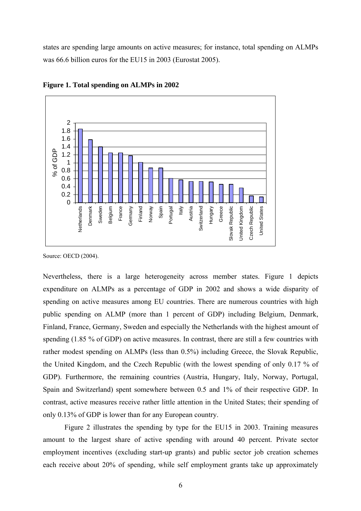states are spending large amounts on active measures; for instance, total spending on ALMPs was 66.6 billion euros for the EU15 in 2003 (Eurostat 2005).



**Figure 1. Total spending on ALMPs in 2002** 

Nevertheless, there is a large heterogeneity across member states. Figure 1 depicts expenditure on ALMPs as a percentage of GDP in 2002 and shows a wide disparity of spending on active measures among EU countries. There are numerous countries with high public spending on ALMP (more than 1 percent of GDP) including Belgium, Denmark, Finland, France, Germany, Sweden and especially the Netherlands with the highest amount of spending (1.85 % of GDP) on active measures. In contrast, there are still a few countries with rather modest spending on ALMPs (less than 0.5%) including Greece, the Slovak Republic, the United Kingdom, and the Czech Republic (with the lowest spending of only 0.17 % of GDP). Furthermore, the remaining countries (Austria, Hungary, Italy, Norway, Portugal, Spain and Switzerland) spent somewhere between 0.5 and 1% of their respective GDP. In contrast, active measures receive rather little attention in the United States; their spending of only 0.13% of GDP is lower than for any European country.

Figure 2 illustrates the spending by type for the EU15 in 2003. Training measures amount to the largest share of active spending with around 40 percent. Private sector employment incentives (excluding start-up grants) and public sector job creation schemes each receive about 20% of spending, while self employment grants take up approximately

Source: OECD (2004).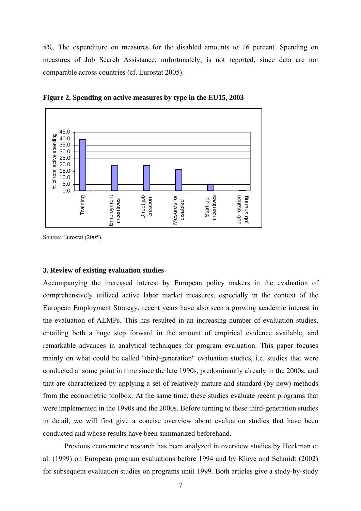5%. The expenditure on measures for the disabled amounts to 16 percent. Spending on measures of Job Search Assistance, unfortunately, is not reported, since data are not comparable across countries (cf. Eurostat 2005).



**Figure 2. Spending on active measures by type in the EU15, 2003** 

Source: Eurostat (2005).

### **3. Review of existing evaluation studies**

Accompanying the increased interest by European policy makers in the evaluation of comprehensively utilized active labor market measures, especially in the context of the European Employment Strategy, recent years have also seen a growing academic interest in the evaluation of ALMPs. This has resulted in an increasing number of evaluation studies, entailing both a huge step forward in the amount of empirical evidence available, and remarkable advances in analytical techniques for program evaluation. This paper focuses mainly on what could be called "third-generation" evaluation studies, i.e. studies that were conducted at some point in time since the late 1990s, predominantly already in the 2000s, and that are characterized by applying a set of relatively mature and standard (by now) methods from the econometric toolbox. At the same time, these studies evaluate recent programs that were implemented in the 1990s and the 2000s. Before turning to these third-generation studies in detail, we will first give a concise overview about evaluation studies that have been conducted and whose results have been summarized beforehand.

Previous econometric research has been analyzed in overview studies by Heckman et al. (1999) on European program evaluations before 1994 and by Kluve and Schmidt (2002) for subsequent evaluation studies on programs until 1999. Both articles give a study-by-study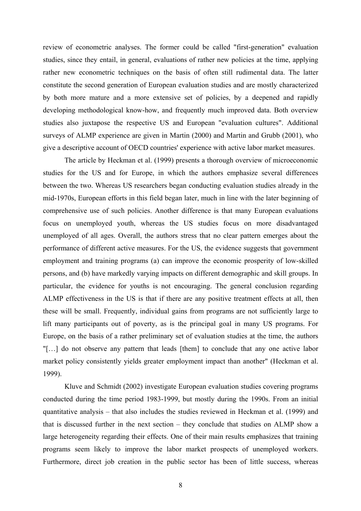review of econometric analyses. The former could be called "first-generation" evaluation studies, since they entail, in general, evaluations of rather new policies at the time, applying rather new econometric techniques on the basis of often still rudimental data. The latter constitute the second generation of European evaluation studies and are mostly characterized by both more mature and a more extensive set of policies, by a deepened and rapidly developing methodological know-how, and frequently much improved data. Both overview studies also juxtapose the respective US and European "evaluation cultures". Additional surveys of ALMP experience are given in Martin (2000) and Martin and Grubb (2001), who give a descriptive account of OECD countries' experience with active labor market measures.

The article by Heckman et al. (1999) presents a thorough overview of microeconomic studies for the US and for Europe, in which the authors emphasize several differences between the two. Whereas US researchers began conducting evaluation studies already in the mid-1970s, European efforts in this field began later, much in line with the later beginning of comprehensive use of such policies. Another difference is that many European evaluations focus on unemployed youth, whereas the US studies focus on more disadvantaged unemployed of all ages. Overall, the authors stress that no clear pattern emerges about the performance of different active measures. For the US, the evidence suggests that government employment and training programs (a) can improve the economic prosperity of low-skilled persons, and (b) have markedly varying impacts on different demographic and skill groups. In particular, the evidence for youths is not encouraging. The general conclusion regarding ALMP effectiveness in the US is that if there are any positive treatment effects at all, then these will be small. Frequently, individual gains from programs are not sufficiently large to lift many participants out of poverty, as is the principal goal in many US programs. For Europe, on the basis of a rather preliminary set of evaluation studies at the time, the authors "[…] do not observe any pattern that leads [them] to conclude that any one active labor market policy consistently yields greater employment impact than another" (Heckman et al. 1999).

Kluve and Schmidt (2002) investigate European evaluation studies covering programs conducted during the time period 1983-1999, but mostly during the 1990s. From an initial quantitative analysis – that also includes the studies reviewed in Heckman et al. (1999) and that is discussed further in the next section – they conclude that studies on ALMP show a large heterogeneity regarding their effects. One of their main results emphasizes that training programs seem likely to improve the labor market prospects of unemployed workers. Furthermore, direct job creation in the public sector has been of little success, whereas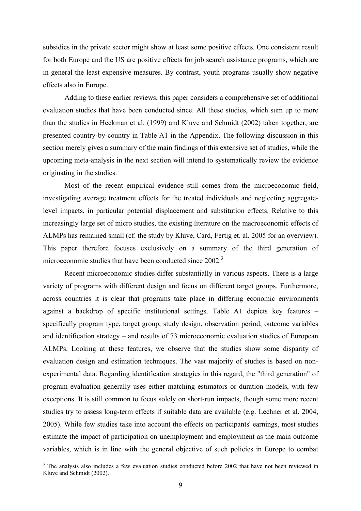subsidies in the private sector might show at least some positive effects. One consistent result for both Europe and the US are positive effects for job search assistance programs, which are in general the least expensive measures. By contrast, youth programs usually show negative effects also in Europe.

Adding to these earlier reviews, this paper considers a comprehensive set of additional evaluation studies that have been conducted since. All these studies, which sum up to more than the studies in Heckman et al. (1999) and Kluve and Schmidt (2002) taken together, are presented country-by-country in Table A1 in the Appendix. The following discussion in this section merely gives a summary of the main findings of this extensive set of studies, while the upcoming meta-analysis in the next section will intend to systematically review the evidence originating in the studies.

Most of the recent empirical evidence still comes from the microeconomic field, investigating average treatment effects for the treated individuals and neglecting aggregatelevel impacts, in particular potential displacement and substitution effects. Relative to this increasingly large set of micro studies, the existing literature on the macroeconomic effects of ALMPs has remained small (cf. the study by Kluve, Card, Fertig et. al. 2005 for an overview). This paper therefore focuses exclusively on a summary of the third generation of microeconomic studies that have been conducted since 2002.<sup>3</sup>

Recent microeconomic studies differ substantially in various aspects. There is a large variety of programs with different design and focus on different target groups. Furthermore, across countries it is clear that programs take place in differing economic environments against a backdrop of specific institutional settings. Table A1 depicts key features – specifically program type, target group, study design, observation period, outcome variables and identification strategy – and results of 73 microeconomic evaluation studies of European ALMPs. Looking at these features, we observe that the studies show some disparity of evaluation design and estimation techniques. The vast majority of studies is based on nonexperimental data. Regarding identification strategies in this regard, the "third generation" of program evaluation generally uses either matching estimators or duration models, with few exceptions. It is still common to focus solely on short-run impacts, though some more recent studies try to assess long-term effects if suitable data are available (e.g. Lechner et al. 2004, 2005). While few studies take into account the effects on participants' earnings, most studies estimate the impact of participation on unemployment and employment as the main outcome variables, which is in line with the general objective of such policies in Europe to combat

1

<sup>&</sup>lt;sup>3</sup> The analysis also includes a few evaluation studies conducted before 2002 that have not been reviewed in Kluve and Schmidt (2002).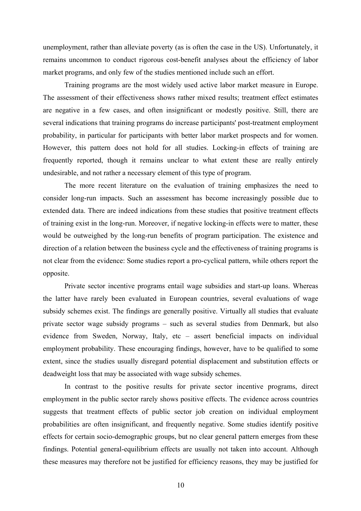unemployment, rather than alleviate poverty (as is often the case in the US). Unfortunately, it remains uncommon to conduct rigorous cost-benefit analyses about the efficiency of labor market programs, and only few of the studies mentioned include such an effort.

Training programs are the most widely used active labor market measure in Europe. The assessment of their effectiveness shows rather mixed results; treatment effect estimates are negative in a few cases, and often insignificant or modestly positive. Still, there are several indications that training programs do increase participants' post-treatment employment probability, in particular for participants with better labor market prospects and for women. However, this pattern does not hold for all studies. Locking-in effects of training are frequently reported, though it remains unclear to what extent these are really entirely undesirable, and not rather a necessary element of this type of program.

 The more recent literature on the evaluation of training emphasizes the need to consider long-run impacts. Such an assessment has become increasingly possible due to extended data. There are indeed indications from these studies that positive treatment effects of training exist in the long-run. Moreover, if negative locking-in effects were to matter, these would be outweighed by the long-run benefits of program participation. The existence and direction of a relation between the business cycle and the effectiveness of training programs is not clear from the evidence: Some studies report a pro-cyclical pattern, while others report the opposite.

 Private sector incentive programs entail wage subsidies and start-up loans. Whereas the latter have rarely been evaluated in European countries, several evaluations of wage subsidy schemes exist. The findings are generally positive. Virtually all studies that evaluate private sector wage subsidy programs – such as several studies from Denmark, but also evidence from Sweden, Norway, Italy, etc – assert beneficial impacts on individual employment probability. These encouraging findings, however, have to be qualified to some extent, since the studies usually disregard potential displacement and substitution effects or deadweight loss that may be associated with wage subsidy schemes.

 In contrast to the positive results for private sector incentive programs, direct employment in the public sector rarely shows positive effects. The evidence across countries suggests that treatment effects of public sector job creation on individual employment probabilities are often insignificant, and frequently negative. Some studies identify positive effects for certain socio-demographic groups, but no clear general pattern emerges from these findings. Potential general-equilibrium effects are usually not taken into account. Although these measures may therefore not be justified for efficiency reasons, they may be justified for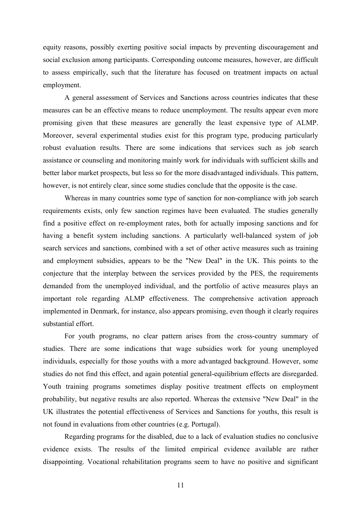equity reasons, possibly exerting positive social impacts by preventing discouragement and social exclusion among participants. Corresponding outcome measures, however, are difficult to assess empirically, such that the literature has focused on treatment impacts on actual employment.

 A general assessment of Services and Sanctions across countries indicates that these measures can be an effective means to reduce unemployment. The results appear even more promising given that these measures are generally the least expensive type of ALMP. Moreover, several experimental studies exist for this program type, producing particularly robust evaluation results. There are some indications that services such as job search assistance or counseling and monitoring mainly work for individuals with sufficient skills and better labor market prospects, but less so for the more disadvantaged individuals. This pattern, however, is not entirely clear, since some studies conclude that the opposite is the case.

 Whereas in many countries some type of sanction for non-compliance with job search requirements exists, only few sanction regimes have been evaluated. The studies generally find a positive effect on re-employment rates, both for actually imposing sanctions and for having a benefit system including sanctions. A particularly well-balanced system of job search services and sanctions, combined with a set of other active measures such as training and employment subsidies, appears to be the "New Deal" in the UK. This points to the conjecture that the interplay between the services provided by the PES, the requirements demanded from the unemployed individual, and the portfolio of active measures plays an important role regarding ALMP effectiveness. The comprehensive activation approach implemented in Denmark, for instance, also appears promising, even though it clearly requires substantial effort.

 For youth programs, no clear pattern arises from the cross-country summary of studies. There are some indications that wage subsidies work for young unemployed individuals, especially for those youths with a more advantaged background. However, some studies do not find this effect, and again potential general-equilibrium effects are disregarded. Youth training programs sometimes display positive treatment effects on employment probability, but negative results are also reported. Whereas the extensive "New Deal" in the UK illustrates the potential effectiveness of Services and Sanctions for youths, this result is not found in evaluations from other countries (e.g. Portugal).

 Regarding programs for the disabled, due to a lack of evaluation studies no conclusive evidence exists. The results of the limited empirical evidence available are rather disappointing. Vocational rehabilitation programs seem to have no positive and significant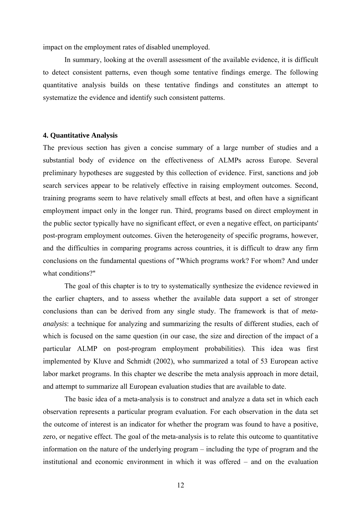impact on the employment rates of disabled unemployed.

 In summary, looking at the overall assessment of the available evidence, it is difficult to detect consistent patterns, even though some tentative findings emerge. The following quantitative analysis builds on these tentative findings and constitutes an attempt to systematize the evidence and identify such consistent patterns.

#### **4. Quantitative Analysis**

The previous section has given a concise summary of a large number of studies and a substantial body of evidence on the effectiveness of ALMPs across Europe. Several preliminary hypotheses are suggested by this collection of evidence. First, sanctions and job search services appear to be relatively effective in raising employment outcomes. Second, training programs seem to have relatively small effects at best, and often have a significant employment impact only in the longer run. Third, programs based on direct employment in the public sector typically have no significant effect, or even a negative effect, on participants' post-program employment outcomes. Given the heterogeneity of specific programs, however, and the difficulties in comparing programs across countries, it is difficult to draw any firm conclusions on the fundamental questions of "Which programs work? For whom? And under what conditions?"

The goal of this chapter is to try to systematically synthesize the evidence reviewed in the earlier chapters, and to assess whether the available data support a set of stronger conclusions than can be derived from any single study. The framework is that of *metaanalysis*: a technique for analyzing and summarizing the results of different studies, each of which is focused on the same question (in our case, the size and direction of the impact of a particular ALMP on post-program employment probabilities). This idea was first implemented by Kluve and Schmidt (2002), who summarized a total of 53 European active labor market programs. In this chapter we describe the meta analysis approach in more detail, and attempt to summarize all European evaluation studies that are available to date.

 The basic idea of a meta-analysis is to construct and analyze a data set in which each observation represents a particular program evaluation. For each observation in the data set the outcome of interest is an indicator for whether the program was found to have a positive, zero, or negative effect. The goal of the meta-analysis is to relate this outcome to quantitative information on the nature of the underlying program – including the type of program and the institutional and economic environment in which it was offered – and on the evaluation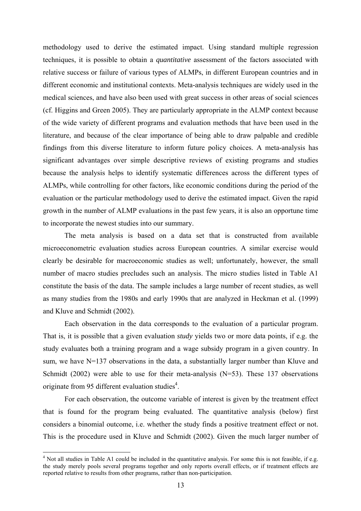methodology used to derive the estimated impact. Using standard multiple regression techniques, it is possible to obtain a *quantitative* assessment of the factors associated with relative success or failure of various types of ALMPs, in different European countries and in different economic and institutional contexts. Meta-analysis techniques are widely used in the medical sciences, and have also been used with great success in other areas of social sciences (cf. Higgins and Green 2005). They are particularly appropriate in the ALMP context because of the wide variety of different programs and evaluation methods that have been used in the literature, and because of the clear importance of being able to draw palpable and credible findings from this diverse literature to inform future policy choices. A meta-analysis has significant advantages over simple descriptive reviews of existing programs and studies because the analysis helps to identify systematic differences across the different types of ALMPs, while controlling for other factors, like economic conditions during the period of the evaluation or the particular methodology used to derive the estimated impact. Given the rapid growth in the number of ALMP evaluations in the past few years, it is also an opportune time to incorporate the newest studies into our summary.

The meta analysis is based on a data set that is constructed from available microeconometric evaluation studies across European countries. A similar exercise would clearly be desirable for macroeconomic studies as well; unfortunately, however, the small number of macro studies precludes such an analysis. The micro studies listed in Table A1 constitute the basis of the data. The sample includes a large number of recent studies, as well as many studies from the 1980s and early 1990s that are analyzed in Heckman et al. (1999) and Kluve and Schmidt (2002).

Each observation in the data corresponds to the evaluation of a particular program. That is, it is possible that a given evaluation *study* yields two or more data points, if e.g. the study evaluates both a training program and a wage subsidy program in a given country. In sum, we have N=137 observations in the data, a substantially larger number than Kluve and Schmidt (2002) were able to use for their meta-analysis (N=53). These 137 observations originate from 95 different evaluation studies $4$ .

 For each observation, the outcome variable of interest is given by the treatment effect that is found for the program being evaluated. The quantitative analysis (below) first considers a binomial outcome, i.e. whether the study finds a positive treatment effect or not. This is the procedure used in Kluve and Schmidt (2002). Given the much larger number of

1

<sup>&</sup>lt;sup>4</sup> Not all studies in Table A1 could be included in the quantitative analysis. For some this is not feasible, if e.g. the study merely pools several programs together and only reports overall effects, or if treatment effects are reported relative to results from other programs, rather than non-participation.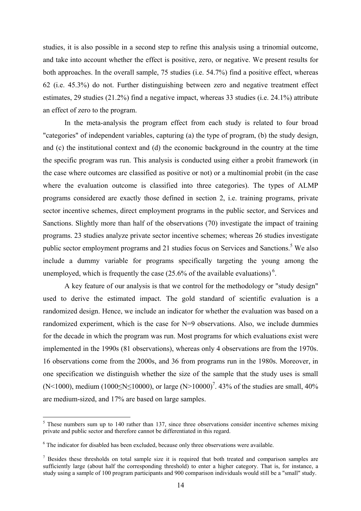studies, it is also possible in a second step to refine this analysis using a trinomial outcome, and take into account whether the effect is positive, zero, or negative. We present results for both approaches. In the overall sample, 75 studies (i.e. 54.7%) find a positive effect, whereas 62 (i.e. 45.3%) do not. Further distinguishing between zero and negative treatment effect estimates, 29 studies (21.2%) find a negative impact, whereas 33 studies (i.e. 24.1%) attribute an effect of zero to the program.

 In the meta-analysis the program effect from each study is related to four broad "categories" of independent variables, capturing (a) the type of program, (b) the study design, and (c) the institutional context and (d) the economic background in the country at the time the specific program was run. This analysis is conducted using either a probit framework (in the case where outcomes are classified as positive or not) or a multinomial probit (in the case where the evaluation outcome is classified into three categories). The types of ALMP programs considered are exactly those defined in section 2, i.e. training programs, private sector incentive schemes, direct employment programs in the public sector, and Services and Sanctions. Slightly more than half of the observations (70) investigate the impact of training programs. 23 studies analyze private sector incentive schemes; whereas 26 studies investigate public sector employment programs and 21 studies focus on Services and Sanctions.<sup>5</sup> We also include a dummy variable for programs specifically targeting the young among the unemployed, which is frequently the case  $(25.6\% \text{ of the available evaluations})^6$ .

 A key feature of our analysis is that we control for the methodology or "study design" used to derive the estimated impact. The gold standard of scientific evaluation is a randomized design. Hence, we include an indicator for whether the evaluation was based on a randomized experiment, which is the case for N=9 observations. Also, we include dummies for the decade in which the program was run. Most programs for which evaluations exist were implemented in the 1990s (81 observations), whereas only 4 observations are from the 1970s. 16 observations come from the 2000s, and 36 from programs run in the 1980s. Moreover, in one specification we distinguish whether the size of the sample that the study uses is small (N<1000), medium (1000 $\leq N \leq 10000$ ), or large (N>10000)<sup>7</sup>. 43% of the studies are small, 40% are medium-sized, and 17% are based on large samples.

1

 $5$  These numbers sum up to 140 rather than 137, since three observations consider incentive schemes mixing private and public sector and therefore cannot be differentiated in this regard.

 $6$  The indicator for disabled has been excluded, because only three observations were available.

<sup>&</sup>lt;sup>7</sup> Besides these thresholds on total sample size it is required that both treated and comparison samples are sufficiently large (about half the corresponding threshold) to enter a higher category. That is, for instance, a study using a sample of 100 program participants and 900 comparison individuals would still be a "small" study.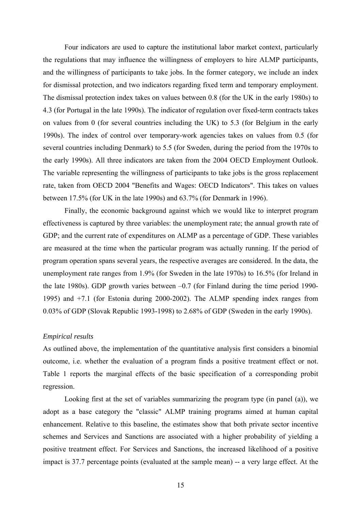Four indicators are used to capture the institutional labor market context, particularly the regulations that may influence the willingness of employers to hire ALMP participants, and the willingness of participants to take jobs. In the former category, we include an index for dismissal protection, and two indicators regarding fixed term and temporary employment. The dismissal protection index takes on values between 0.8 (for the UK in the early 1980s) to 4.3 (for Portugal in the late 1990s). The indicator of regulation over fixed-term contracts takes on values from 0 (for several countries including the UK) to 5.3 (for Belgium in the early 1990s). The index of control over temporary-work agencies takes on values from 0.5 (for several countries including Denmark) to 5.5 (for Sweden, during the period from the 1970s to the early 1990s). All three indicators are taken from the 2004 OECD Employment Outlook. The variable representing the willingness of participants to take jobs is the gross replacement rate, taken from OECD 2004 "Benefits and Wages: OECD Indicators". This takes on values between 17.5% (for UK in the late 1990s) and 63.7% (for Denmark in 1996).

Finally, the economic background against which we would like to interpret program effectiveness is captured by three variables: the unemployment rate; the annual growth rate of GDP; and the current rate of expenditures on ALMP as a percentage of GDP. These variables are measured at the time when the particular program was actually running. If the period of program operation spans several years, the respective averages are considered. In the data, the unemployment rate ranges from 1.9% (for Sweden in the late 1970s) to 16.5% (for Ireland in the late 1980s). GDP growth varies between –0.7 (for Finland during the time period 1990- 1995) and +7.1 (for Estonia during 2000-2002). The ALMP spending index ranges from 0.03% of GDP (Slovak Republic 1993-1998) to 2.68% of GDP (Sweden in the early 1990s).

#### *Empirical results*

As outlined above, the implementation of the quantitative analysis first considers a binomial outcome, i.e. whether the evaluation of a program finds a positive treatment effect or not. Table 1 reports the marginal effects of the basic specification of a corresponding probit regression.

Looking first at the set of variables summarizing the program type (in panel (a)), we adopt as a base category the "classic" ALMP training programs aimed at human capital enhancement. Relative to this baseline, the estimates show that both private sector incentive schemes and Services and Sanctions are associated with a higher probability of yielding a positive treatment effect. For Services and Sanctions, the increased likelihood of a positive impact is 37.7 percentage points (evaluated at the sample mean) -- a very large effect. At the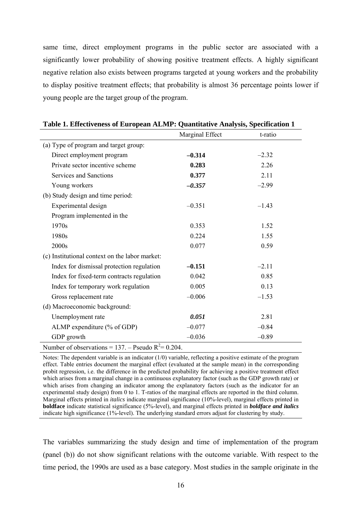same time, direct employment programs in the public sector are associated with a significantly lower probability of showing positive treatment effects. A highly significant negative relation also exists between programs targeted at young workers and the probability to display positive treatment effects; that probability is almost 36 percentage points lower if young people are the target group of the program.

|                                                       | Marginal Effect | t-ratio |  |
|-------------------------------------------------------|-----------------|---------|--|
| (a) Type of program and target group:                 |                 |         |  |
| Direct employment program                             | $-0.314$        | $-2.32$ |  |
| Private sector incentive scheme                       | 0.283           | 2.26    |  |
| Services and Sanctions                                | 0.377           | 2.11    |  |
| Young workers                                         | $-0.357$        | $-2.99$ |  |
| (b) Study design and time period:                     |                 |         |  |
| Experimental design                                   | $-0.351$        | $-1.43$ |  |
| Program implemented in the                            |                 |         |  |
| 1970s                                                 | 0.353           | 1.52    |  |
| 1980s                                                 | 0.224           | 1.55    |  |
| 2000s                                                 | 0.077           | 0.59    |  |
| (c) Institutional context on the labor market:        |                 |         |  |
| Index for dismissal protection regulation             | $-0.151$        | $-2.11$ |  |
| Index for fixed-term contracts regulation             | 0.042           | 0.85    |  |
| Index for temporary work regulation                   | 0.005           | 0.13    |  |
| Gross replacement rate                                | $-0.006$        | $-1.53$ |  |
| (d) Macroeconomic background:                         |                 |         |  |
| Unemployment rate                                     | 0.051           | 2.81    |  |
| ALMP expenditure (% of GDP)                           | $-0.077$        | $-0.84$ |  |
| GDP growth                                            | $-0.036$        | $-0.89$ |  |
| Number of observations = 137. – Pseudo $R^2$ = 0.204. |                 |         |  |

|  |  |  | Table 1. Effectiveness of European ALMP: Quantitative Analysis, Specification 1 |
|--|--|--|---------------------------------------------------------------------------------|
|  |  |  |                                                                                 |

Notes: The dependent variable is an indicator (1/0) variable, reflecting a positive estimate of the program effect. Table entries document the marginal effect (evaluated at the sample mean) in the corresponding probit regression, i.e. the difference in the predicted probability for achieving a positive treatment effect which arises from a marginal change in a continuous explanatory factor (such as the GDP growth rate) or which arises from changing an indicator among the explanatory factors (such as the indicator for an experimental study design) from 0 to 1. T-ratios of the marginal effects are reported in the third column. Marginal effects printed in *italics* indicate marginal significance (10%-level), marginal effects printed in **boldface** indicate statistical significance (5%-level), and marginal effects printed in *boldface and italics* indicate high significance (1%-level). The underlying standard errors adjust for clustering by study.

The variables summarizing the study design and time of implementation of the program (panel (b)) do not show significant relations with the outcome variable. With respect to the time period, the 1990s are used as a base category. Most studies in the sample originate in the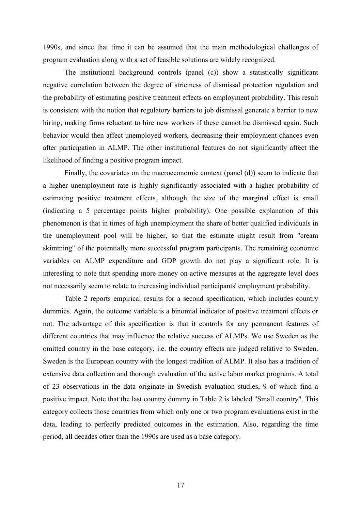1990s, and since that time it can be assumed that the main methodological challenges of program evaluation along with a set of feasible solutions are widely recognized.

 The institutional background controls (panel (c)) show a statistically significant negative correlation between the degree of strictness of dismissal protection regulation and the probability of estimating positive treatment effects on employment probability. This result is consistent with the notion that regulatory barriers to job dismissal generate a barrier to new hiring, making firms reluctant to hire new workers if these cannot be dismissed again. Such behavior would then affect unemployed workers, decreasing their employment chances even after participation in ALMP. The other institutional features do not significantly affect the likelihood of finding a positive program impact.

 Finally, the covariates on the macroeconomic context (panel (d)) seem to indicate that a higher unemployment rate is highly significantly associated with a higher probability of estimating positive treatment effects, although the size of the marginal effect is small (indicating a 5 percentage points higher probability). One possible explanation of this phenomenon is that in times of high unemployment the share of better qualified individuals in the unemployment pool will be higher, so that the estimate might result from "cream skimming" of the potentially more successful program participants. The remaining economic variables on ALMP expenditure and GDP growth do not play a significant role. It is interesting to note that spending more money on active measures at the aggregate level does not necessarily seem to relate to increasing individual participants' employment probability.

 Table 2 reports empirical results for a second specification, which includes country dummies. Again, the outcome variable is a binomial indicator of positive treatment effects or not. The advantage of this specification is that it controls for any permanent features of different countries that may influence the relative success of ALMPs. We use Sweden as the omitted country in the base category, i.e. the country effects are judged relative to Sweden. Sweden is the European country with the longest tradition of ALMP. It also has a tradition of extensive data collection and thorough evaluation of the active labor market programs. A total of 23 observations in the data originate in Swedish evaluation studies, 9 of which find a positive impact. Note that the last country dummy in Table 2 is labeled "Small country". This category collects those countries from which only one or two program evaluations exist in the data, leading to perfectly predicted outcomes in the estimation. Also, regarding the time period, all decades other than the 1990s are used as a base category.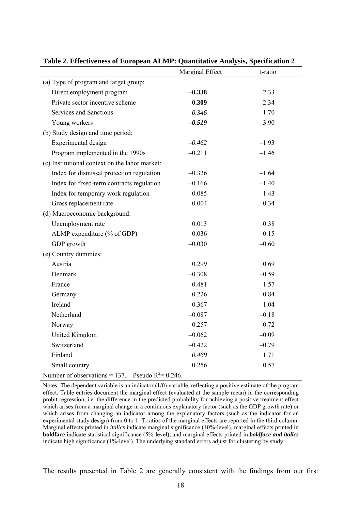|                                                | Marginal Effect | t-ratio |
|------------------------------------------------|-----------------|---------|
| (a) Type of program and target group:          |                 |         |
| Direct employment program                      | $-0.338$        | $-2.33$ |
| Private sector incentive scheme                | 0.309           | 2.34    |
| Services and Sanctions                         | 0.346           | 1.70    |
| Young workers                                  | $-0.519$        | $-3.90$ |
| (b) Study design and time period:              |                 |         |
| Experimental design                            | $-0.462$        | $-1.93$ |
| Program implemented in the 1990s               | $-0.211$        | $-1.46$ |
| (c) Institutional context on the labor market: |                 |         |
| Index for dismissal protection regulation      | $-0.326$        | $-1.64$ |
| Index for fixed-term contracts regulation      | $-0.166$        | $-1.40$ |
| Index for temporary work regulation            | 0.085           | 1.43    |
| Gross replacement rate                         | 0.004           | 0.34    |
| (d) Macroeconomic background:                  |                 |         |
| Unemployment rate                              | 0.013           | 0.38    |
| ALMP expenditure (% of GDP)                    | 0.036           | 0.15    |
| GDP growth                                     | $-0.030$        | $-0.60$ |
| (e) Country dummies:                           |                 |         |
| Austria                                        | 0.299           | 0.69    |
| Denmark                                        | $-0.308$        | $-0.59$ |
| France                                         | 0.481           | 1.57    |
| Germany                                        | 0.226           | 0.84    |
| Ireland                                        | 0.367           | 1.04    |
| Netherland                                     | $-0.087$        | $-0.18$ |
| Norway                                         | 0.257           | 0.72    |
| <b>United Kingdom</b>                          | $-0.062$        | $-0.09$ |
| Switzerland                                    | $-0.422$        | $-0.79$ |
| Finland                                        | 0.469           | 1.71    |
| Small country<br>$\sqrt{2}$                    | 0.256           | 0.57    |

**Table 2. Effectiveness of European ALMP: Quantitative Analysis, Specification 2**

Number of observations =  $137.$  – Pseudo R<sup>2</sup> = 0.246.

Notes: The dependent variable is an indicator (1/0) variable, reflecting a positive estimate of the program effect. Table entries document the marginal effect (evaluated at the sample mean) in the corresponding probit regression, i.e. the difference in the predicted probability for achieving a positive treatment effect which arises from a marginal change in a continuous explanatory factor (such as the GDP growth rate) or which arises from changing an indicator among the explanatory factors (such as the indicator for an experimental study design) from 0 to 1. T-ratios of the marginal effects are reported in the third column. Marginal effects printed in *italics* indicate marginal significance (10%-level), marginal effects printed in **boldface** indicate statistical significance (5%-level), and marginal effects printed in *boldface and italics* indicate high significance (1%-level). The underlying standard errors adjust for clustering by study.

The results presented in Table 2 are generally consistent with the findings from our first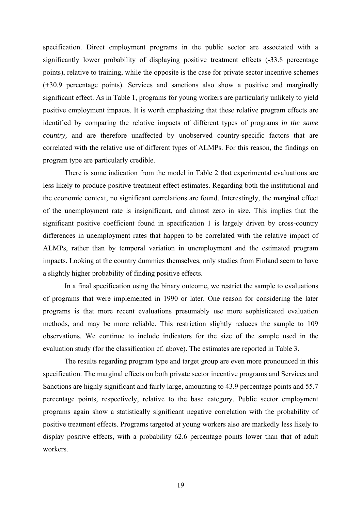specification. Direct employment programs in the public sector are associated with a significantly lower probability of displaying positive treatment effects (-33.8 percentage points), relative to training, while the opposite is the case for private sector incentive schemes (+30.9 percentage points). Services and sanctions also show a positive and marginally significant effect. As in Table 1, programs for young workers are particularly unlikely to yield positive employment impacts. It is worth emphasizing that these relative program effects are identified by comparing the relative impacts of different types of programs *in the same country*, and are therefore unaffected by unobserved country-specific factors that are correlated with the relative use of different types of ALMPs. For this reason, the findings on program type are particularly credible.

 There is some indication from the model in Table 2 that experimental evaluations are less likely to produce positive treatment effect estimates. Regarding both the institutional and the economic context, no significant correlations are found. Interestingly, the marginal effect of the unemployment rate is insignificant, and almost zero in size. This implies that the significant positive coefficient found in specification 1 is largely driven by cross-country differences in unemployment rates that happen to be correlated with the relative impact of ALMPs, rather than by temporal variation in unemployment and the estimated program impacts. Looking at the country dummies themselves, only studies from Finland seem to have a slightly higher probability of finding positive effects.

 In a final specification using the binary outcome, we restrict the sample to evaluations of programs that were implemented in 1990 or later. One reason for considering the later programs is that more recent evaluations presumably use more sophisticated evaluation methods, and may be more reliable. This restriction slightly reduces the sample to 109 observations. We continue to include indicators for the size of the sample used in the evaluation study (for the classification cf. above). The estimates are reported in Table 3.

The results regarding program type and target group are even more pronounced in this specification. The marginal effects on both private sector incentive programs and Services and Sanctions are highly significant and fairly large, amounting to 43.9 percentage points and 55.7 percentage points, respectively, relative to the base category. Public sector employment programs again show a statistically significant negative correlation with the probability of positive treatment effects. Programs targeted at young workers also are markedly less likely to display positive effects, with a probability 62.6 percentage points lower than that of adult workers.

19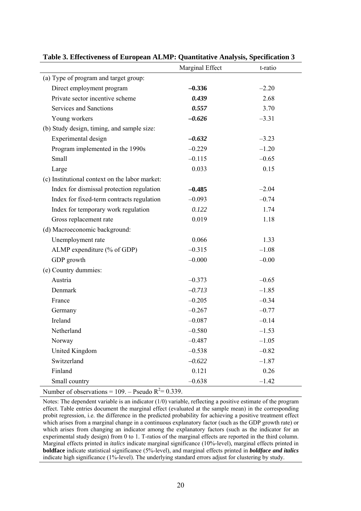|                                                | Marginal Effect | t-ratio |
|------------------------------------------------|-----------------|---------|
| (a) Type of program and target group:          |                 |         |
| Direct employment program                      | $-0.336$        | $-2.20$ |
| Private sector incentive scheme                | 0.439           | 2.68    |
| Services and Sanctions                         | 0.557           | 3.70    |
| Young workers                                  | $-0.626$        | $-3.31$ |
| (b) Study design, timing, and sample size:     |                 |         |
| Experimental design                            | $-0.632$        | $-3.23$ |
| Program implemented in the 1990s               | $-0.229$        | $-1.20$ |
| Small                                          | $-0.115$        | $-0.65$ |
| Large                                          | 0.033           | 0.15    |
| (c) Institutional context on the labor market: |                 |         |
| Index for dismissal protection regulation      | $-0.485$        | $-2.04$ |
| Index for fixed-term contracts regulation      | $-0.093$        | $-0.74$ |
| Index for temporary work regulation            | 0.122           | 1.74    |
| Gross replacement rate                         | 0.019           | 1.18    |
| (d) Macroeconomic background:                  |                 |         |
| Unemployment rate                              | 0.066           | 1.33    |
| ALMP expenditure (% of GDP)                    | $-0.315$        | $-1.08$ |
| GDP growth                                     | $-0.000$        | $-0.00$ |
| (e) Country dummies:                           |                 |         |
| Austria                                        | $-0.373$        | $-0.65$ |
| Denmark                                        | $-0.713$        | $-1.85$ |
| France                                         | $-0.205$        | $-0.34$ |
| Germany                                        | $-0.267$        | $-0.77$ |
| Ireland                                        | $-0.087$        | $-0.14$ |
| Netherland                                     | $-0.580$        | $-1.53$ |
| Norway                                         | $-0.487$        | $-1.05$ |
| United Kingdom                                 | $-0.538$        | $-0.82$ |
| Switzerland                                    | $-0.622$        | $-1.87$ |
| Finland                                        | 0.121           | 0.26    |
| Small country                                  | $-0.638$        | $-1.42$ |

**Table 3. Effectiveness of European ALMP: Quantitative Analysis, Specification 3**

Number of observations =  $109$ . – Pseudo R<sup>2</sup>= 0.339.

Notes: The dependent variable is an indicator (1/0) variable, reflecting a positive estimate of the program effect. Table entries document the marginal effect (evaluated at the sample mean) in the corresponding probit regression, i.e. the difference in the predicted probability for achieving a positive treatment effect which arises from a marginal change in a continuous explanatory factor (such as the GDP growth rate) or which arises from changing an indicator among the explanatory factors (such as the indicator for an experimental study design) from 0 to 1. T-ratios of the marginal effects are reported in the third column. Marginal effects printed in *italics* indicate marginal significance (10%-level), marginal effects printed in **boldface** indicate statistical significance (5%-level), and marginal effects printed in *boldface and italics* indicate high significance (1%-level). The underlying standard errors adjust for clustering by study.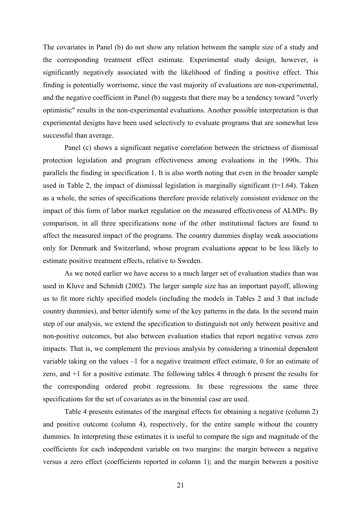The covariates in Panel (b) do not show any relation between the sample size of a study and the corresponding treatment effect estimate. Experimental study design, however, is significantly negatively associated with the likelihood of finding a positive effect. This finding is potentially worrisome, since the vast majority of evaluations are non-experimental, and the negative coefficient in Panel (b) suggests that there may be a tendency toward "overly optimistic" results in the non-experimental evaluations. Another possible interpretation is that experimental designs have been used selectively to evaluate programs that are somewhat less successful than average.

 Panel (c) shows a significant negative correlation between the strictness of dismissal protection legislation and program effectiveness among evaluations in the 1990s. This parallels the finding in specification 1. It is also worth noting that even in the broader sample used in Table 2, the impact of dismissal legislation is marginally significant  $(t=1.64)$ . Taken as a whole, the series of specifications therefore provide relatively consistent evidence on the impact of this form of labor market regulation on the measured effectiveness of ALMPs. By comparison, in all three specifications none of the other institutional factors are found to affect the measured impact of the programs. The country dummies display weak associations only for Denmark and Switzerland, whose program evaluations appear to be less likely to estimate positive treatment effects, relative to Sweden.

 As we noted earlier we have access to a much larger set of evaluation studies than was used in Kluve and Schmidt (2002). The larger sample size has an important payoff, allowing us to fit more richly specified models (including the models in Tables 2 and 3 that include country dummies), and better identify some of the key patterns in the data. In the second main step of our analysis, we extend the specification to distinguish not only between positive and non-positive outcomes, but also between evaluation studies that report negative versus zero impacts. That is, we complement the previous analysis by considering a trinomial dependent variable taking on the values –1 for a negative treatment effect estimate, 0 for an estimate of zero, and +1 for a positive estimate. The following tables 4 through 6 present the results for the corresponding ordered probit regressions. In these regressions the same three specifications for the set of covariates as in the binomial case are used.

Table 4 presents estimates of the marginal effects for obtaining a negative (column 2) and positive outcome (column 4), respectively, for the entire sample without the country dummies. In interpreting these estimates it is useful to compare the sign and magnitude of the coefficients for each independent variable on two margins: the margin between a negative versus a zero effect (coefficients reported in column 1); and the margin between a positive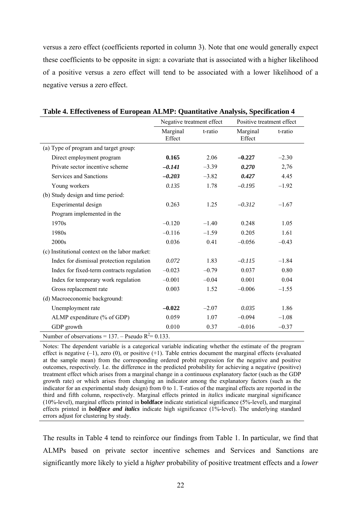versus a zero effect (coefficients reported in column 3). Note that one would generally expect these coefficients to be opposite in sign: a covariate that is associated with a higher likelihood of a positive versus a zero effect will tend to be associated with a lower likelihood of a negative versus a zero effect.

|                                                       | Negative treatment effect |         | Positive treatment effect |         |  |
|-------------------------------------------------------|---------------------------|---------|---------------------------|---------|--|
|                                                       | Marginal<br>Effect        | t-ratio | Marginal<br>Effect        | t-ratio |  |
| (a) Type of program and target group:                 |                           |         |                           |         |  |
| Direct employment program                             | 0.165                     | 2.06    | $-0.227$                  | $-2.30$ |  |
| Private sector incentive scheme                       | $-0.141$                  | $-3.39$ | 0.270                     | 2,76    |  |
| Services and Sanctions                                | $-0.203$                  | $-3.82$ | 0.427                     | 4.45    |  |
| Young workers                                         | 0.135                     | 1.78    | $-0.195$                  | $-1.92$ |  |
| (b) Study design and time period:                     |                           |         |                           |         |  |
| Experimental design                                   | 0.263                     | 1.25    | $-0.312$                  | $-1.67$ |  |
| Program implemented in the                            |                           |         |                           |         |  |
| 1970s                                                 | $-0.120$                  | $-1.40$ | 0.248                     | 1.05    |  |
| 1980s                                                 | $-0.116$                  | $-1.59$ | 0.205                     | 1.61    |  |
| 2000s                                                 | 0.036                     | 0.41    | $-0.056$                  | $-0.43$ |  |
| (c) Institutional context on the labor market:        |                           |         |                           |         |  |
| Index for dismissal protection regulation             | 0.072                     | 1.83    | $-0.115$                  | $-1.84$ |  |
| Index for fixed-term contracts regulation             | $-0.023$                  | $-0.79$ | 0.037                     | 0.80    |  |
| Index for temporary work regulation                   | $-0.001$                  | $-0.04$ | 0.001                     | 0.04    |  |
| Gross replacement rate                                | 0.003                     | 1.52    | $-0.006$                  | $-1.55$ |  |
| (d) Macroeconomic background:                         |                           |         |                           |         |  |
| Unemployment rate                                     | $-0.022$                  | $-2.07$ | 0.035                     | 1.86    |  |
| ALMP expenditure (% of GDP)                           | 0.059                     | 1.07    | $-0.094$                  | $-1.08$ |  |
| GDP growth                                            | 0.010                     | 0.37    | $-0.016$                  | $-0.37$ |  |
| Number of observations = 137. – Pseudo $R^2$ = 0.133. |                           |         |                           |         |  |

**Table 4. Effectiveness of European ALMP: Quantitative Analysis, Specification 4**

Notes: The dependent variable is a categorical variable indicating whether the estimate of the program effect is negative  $(-1)$ , zero  $(0)$ , or positive  $(+1)$ . Table entries document the marginal effects (evaluated at the sample mean) from the corresponding ordered probit regression for the negative and positive outcomes, respectively. I.e. the difference in the predicted probability for achieving a negative (positive) treatment effect which arises from a marginal change in a continuous explanatory factor (such as the GDP growth rate) or which arises from changing an indicator among the explanatory factors (such as the indicator for an experimental study design) from 0 to 1. T-ratios of the marginal effects are reported in the third and fifth column, respectively. Marginal effects printed in *italics* indicate marginal significance (10%-level), marginal effects printed in **boldface** indicate statistical significance (5%-level), and marginal effects printed in *boldface and italics* indicate high significance (1%-level). The underlying standard errors adjust for clustering by study.

The results in Table 4 tend to reinforce our findings from Table 1. In particular, we find that ALMPs based on private sector incentive schemes and Services and Sanctions are significantly more likely to yield a *higher* probability of positive treatment effects and a *lower*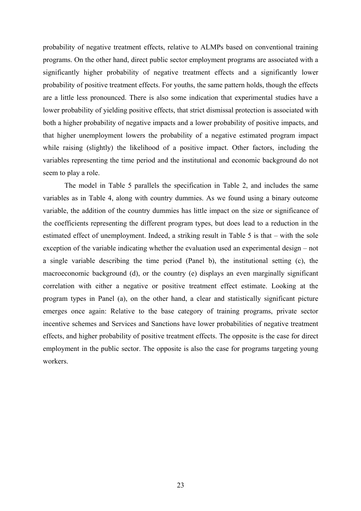probability of negative treatment effects, relative to ALMPs based on conventional training programs. On the other hand, direct public sector employment programs are associated with a significantly higher probability of negative treatment effects and a significantly lower probability of positive treatment effects. For youths, the same pattern holds, though the effects are a little less pronounced. There is also some indication that experimental studies have a lower probability of yielding positive effects, that strict dismissal protection is associated with both a higher probability of negative impacts and a lower probability of positive impacts, and that higher unemployment lowers the probability of a negative estimated program impact while raising (slightly) the likelihood of a positive impact. Other factors, including the variables representing the time period and the institutional and economic background do not seem to play a role.

 The model in Table 5 parallels the specification in Table 2, and includes the same variables as in Table 4, along with country dummies. As we found using a binary outcome variable, the addition of the country dummies has little impact on the size or significance of the coefficients representing the different program types, but does lead to a reduction in the estimated effect of unemployment. Indeed, a striking result in Table 5 is that – with the sole exception of the variable indicating whether the evaluation used an experimental design – not a single variable describing the time period (Panel b), the institutional setting (c), the macroeconomic background (d), or the country (e) displays an even marginally significant correlation with either a negative or positive treatment effect estimate. Looking at the program types in Panel (a), on the other hand, a clear and statistically significant picture emerges once again: Relative to the base category of training programs, private sector incentive schemes and Services and Sanctions have lower probabilities of negative treatment effects, and higher probability of positive treatment effects. The opposite is the case for direct employment in the public sector. The opposite is also the case for programs targeting young workers.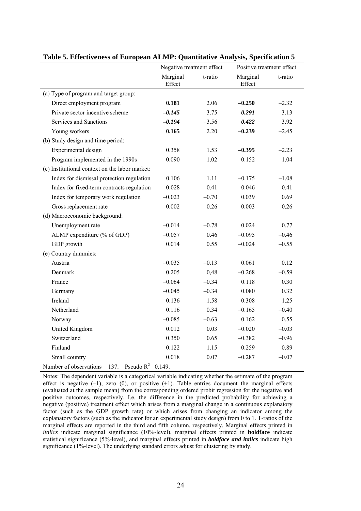|                                                       | Negative treatment effect |         | Positive treatment effect |         |
|-------------------------------------------------------|---------------------------|---------|---------------------------|---------|
|                                                       | Marginal<br>Effect        | t-ratio | Marginal<br>Effect        | t-ratio |
| (a) Type of program and target group:                 |                           |         |                           |         |
| Direct employment program                             | 0.181                     | 2.06    | $-0.250$                  | $-2.32$ |
| Private sector incentive scheme                       | $-0.145$                  | $-3.75$ | 0.291                     | 3.13    |
| Services and Sanctions                                | $-0.194$                  | $-3.56$ | 0.422                     | 3.92    |
| Young workers                                         | 0.165                     | 2.20    | $-0.239$                  | $-2.45$ |
| (b) Study design and time period:                     |                           |         |                           |         |
| Experimental design                                   | 0.358                     | 1.53    | $-0.395$                  | $-2.23$ |
| Program implemented in the 1990s                      | 0.090                     | 1.02    | $-0.152$                  | $-1.04$ |
| (c) Institutional context on the labor market:        |                           |         |                           |         |
| Index for dismissal protection regulation             | 0.106                     | 1.11    | $-0.175$                  | $-1.08$ |
| Index for fixed-term contracts regulation             | 0.028                     | 0.41    | $-0.046$                  | $-0.41$ |
| Index for temporary work regulation                   | $-0.023$                  | $-0.70$ | 0.039                     | 0.69    |
| Gross replacement rate                                | $-0.002$                  | $-0.26$ | 0.003                     | 0.26    |
| (d) Macroeconomic background:                         |                           |         |                           |         |
| Unemployment rate                                     | $-0.014$                  | $-0.78$ | 0.024                     | 0.77    |
| ALMP expenditure (% of GDP)                           | $-0.057$                  | 0.46    | $-0.095$                  | $-0.46$ |
| GDP growth                                            | 0.014                     | 0.55    | $-0.024$                  | $-0.55$ |
| (e) Country dummies:                                  |                           |         |                           |         |
| Austria                                               | $-0.035$                  | $-0.13$ | 0.061                     | 0.12    |
| Denmark                                               | 0.205                     | 0,48    | $-0.268$                  | $-0.59$ |
| France                                                | $-0.064$                  | $-0.34$ | 0.118                     | 0.30    |
| Germany                                               | $-0.045$                  | $-0.34$ | 0.080                     | 0.32    |
| Ireland                                               | $-0.136$                  | $-1.58$ | 0.308                     | 1.25    |
| Netherland                                            | 0.116                     | 0.34    | $-0.165$                  | $-0.40$ |
| Norway                                                | $-0.085$                  | $-0.63$ | 0.162                     | 0.55    |
| United Kingdom                                        | 0.012                     | 0.03    | $-0.020$                  | $-0.03$ |
| Switzerland                                           | 0.350                     | 0.65    | $-0.382$                  | $-0.96$ |
| Finland                                               | $-0.122$                  | $-1.15$ | 0.259                     | 0.89    |
| Small country                                         | 0.018                     | 0.07    | $-0.287$                  | $-0.07$ |
| Number of observations = 137. – Pseudo $R^2$ = 0.149. |                           |         |                           |         |

**Table 5. Effectiveness of European ALMP: Quantitative Analysis, Specification 5**

Notes: The dependent variable is a categorical variable indicating whether the estimate of the program effect is negative  $(-1)$ , zero  $(0)$ , or positive  $(+1)$ . Table entries document the marginal effects (evaluated at the sample mean) from the corresponding ordered probit regression for the negative and positive outcomes, respectively. I.e. the difference in the predicted probability for achieving a negative (positive) treatment effect which arises from a marginal change in a continuous explanatory factor (such as the GDP growth rate) or which arises from changing an indicator among the explanatory factors (such as the indicator for an experimental study design) from 0 to 1. T-ratios of the marginal effects are reported in the third and fifth column, respectively. Marginal effects printed in *italics* indicate marginal significance (10%-level), marginal effects printed in **boldface** indicate statistical significance (5%-level), and marginal effects printed in *boldface and italics* indicate high significance (1%-level). The underlying standard errors adjust for clustering by study.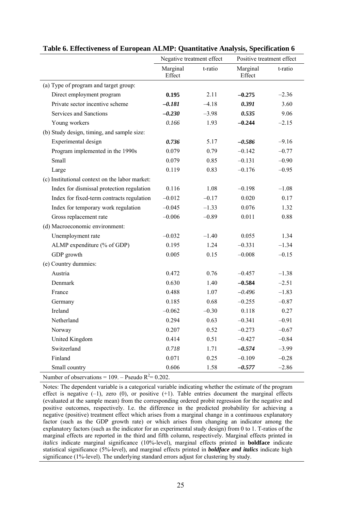|                                                                   | Negative treatment effect |         | Positive treatment effect |         |  |
|-------------------------------------------------------------------|---------------------------|---------|---------------------------|---------|--|
|                                                                   | Marginal<br>Effect        | t-ratio | Marginal<br>Effect        | t-ratio |  |
| (a) Type of program and target group:                             |                           |         |                           |         |  |
| Direct employment program                                         | 0.195                     | 2.11    | $-0.275$                  | $-2.36$ |  |
| Private sector incentive scheme                                   | $-0.181$                  | $-4.18$ | 0.391                     | 3.60    |  |
| Services and Sanctions                                            | $-0.230$                  | $-3.98$ | 0.535                     | 9.06    |  |
| Young workers                                                     | 0.166                     | 1.93    | $-0.244$                  | $-2.15$ |  |
| (b) Study design, timing, and sample size:                        |                           |         |                           |         |  |
| Experimental design                                               | 0.736                     | 5.17    | $-0.586$                  | $-9.16$ |  |
| Program implemented in the 1990s                                  | 0.079                     | 0.79    | $-0.142$                  | $-0.77$ |  |
| Small                                                             | 0.079                     | 0.85    | $-0.131$                  | $-0.90$ |  |
| Large                                                             | 0.119                     | 0.83    | $-0.176$                  | $-0.95$ |  |
| (c) Institutional context on the labor market:                    |                           |         |                           |         |  |
| Index for dismissal protection regulation                         | 0.116                     | 1.08    | $-0.198$                  | $-1.08$ |  |
| Index for fixed-term contracts regulation                         | $-0.012$                  | $-0.17$ | 0.020                     | 0.17    |  |
| Index for temporary work regulation                               | $-0.045$                  | $-1.33$ | 0.076                     | 1.32    |  |
| Gross replacement rate                                            | $-0.006$                  | $-0.89$ | 0.011                     | 0.88    |  |
| (d) Macroeconomic environment:                                    |                           |         |                           |         |  |
| Unemployment rate                                                 | $-0.032$                  | $-1.40$ | 0.055                     | 1.34    |  |
| ALMP expenditure (% of GDP)                                       | 0.195                     | 1.24    | $-0.331$                  | $-1.34$ |  |
| GDP growth                                                        | 0.005                     | 0.15    | $-0.008$                  | $-0.15$ |  |
| (e) Country dummies:                                              |                           |         |                           |         |  |
| Austria                                                           | 0.472                     | 0.76    | $-0.457$                  | $-1.38$ |  |
| Denmark                                                           | 0.630                     | 1.40    | $-0.584$                  | $-2.51$ |  |
| France                                                            | 0.488                     | 1.07    | $-0.496$                  | $-1.83$ |  |
| Germany                                                           | 0.185                     | 0.68    | $-0.255$                  | $-0.87$ |  |
| Ireland                                                           | $-0.062$                  | $-0.30$ | 0.118                     | 0.27    |  |
| Netherland                                                        | 0.294                     | 0.63    | $-0.341$                  | $-0.91$ |  |
| Norway                                                            | 0.207                     | 0.52    | $-0.273$                  | $-0.67$ |  |
| United Kingdom                                                    | 0.414                     | 0.51    | $-0.427$                  | $-0.84$ |  |
| Switzerland                                                       | 0.718                     | 1.71    | $-0.574$                  | $-3.99$ |  |
| Finland                                                           | 0.071                     | 0.25    | $-0.109$                  | $-0.28$ |  |
| Small country                                                     | 0.606                     | 1.58    | $-0.577$                  | $-2.86$ |  |
| Number of observations = $109$ . – Pseudo R <sup>2</sup> = 0.202. |                           |         |                           |         |  |

**Table 6. Effectiveness of European ALMP: Quantitative Analysis, Specification 6**

Notes: The dependent variable is a categorical variable indicating whether the estimate of the program effect is negative  $(-1)$ , zero  $(0)$ , or positive  $(+1)$ . Table entries document the marginal effects (evaluated at the sample mean) from the corresponding ordered probit regression for the negative and positive outcomes, respectively. I.e. the difference in the predicted probability for achieving a negative (positive) treatment effect which arises from a marginal change in a continuous explanatory factor (such as the GDP growth rate) or which arises from changing an indicator among the explanatory factors (such as the indicator for an experimental study design) from 0 to 1. T-ratios of the marginal effects are reported in the third and fifth column, respectively. Marginal effects printed in *italics* indicate marginal significance (10%-level), marginal effects printed in **boldface** indicate statistical significance (5%-level), and marginal effects printed in *boldface and italics* indicate high significance (1%-level). The underlying standard errors adjust for clustering by study.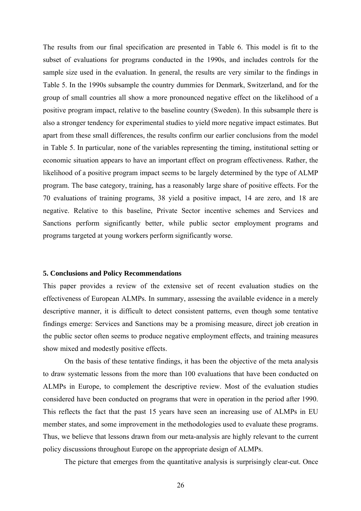The results from our final specification are presented in Table 6. This model is fit to the subset of evaluations for programs conducted in the 1990s, and includes controls for the sample size used in the evaluation. In general, the results are very similar to the findings in Table 5. In the 1990s subsample the country dummies for Denmark, Switzerland, and for the group of small countries all show a more pronounced negative effect on the likelihood of a positive program impact, relative to the baseline country (Sweden). In this subsample there is also a stronger tendency for experimental studies to yield more negative impact estimates. But apart from these small differences, the results confirm our earlier conclusions from the model in Table 5. In particular, none of the variables representing the timing, institutional setting or economic situation appears to have an important effect on program effectiveness. Rather, the likelihood of a positive program impact seems to be largely determined by the type of ALMP program. The base category, training, has a reasonably large share of positive effects. For the 70 evaluations of training programs, 38 yield a positive impact, 14 are zero, and 18 are negative. Relative to this baseline, Private Sector incentive schemes and Services and Sanctions perform significantly better, while public sector employment programs and programs targeted at young workers perform significantly worse.

#### **5. Conclusions and Policy Recommendations**

This paper provides a review of the extensive set of recent evaluation studies on the effectiveness of European ALMPs. In summary, assessing the available evidence in a merely descriptive manner, it is difficult to detect consistent patterns, even though some tentative findings emerge: Services and Sanctions may be a promising measure, direct job creation in the public sector often seems to produce negative employment effects, and training measures show mixed and modestly positive effects.

On the basis of these tentative findings, it has been the objective of the meta analysis to draw systematic lessons from the more than 100 evaluations that have been conducted on ALMPs in Europe, to complement the descriptive review. Most of the evaluation studies considered have been conducted on programs that were in operation in the period after 1990. This reflects the fact that the past 15 years have seen an increasing use of ALMPs in EU member states, and some improvement in the methodologies used to evaluate these programs. Thus, we believe that lessons drawn from our meta-analysis are highly relevant to the current policy discussions throughout Europe on the appropriate design of ALMPs.

The picture that emerges from the quantitative analysis is surprisingly clear-cut. Once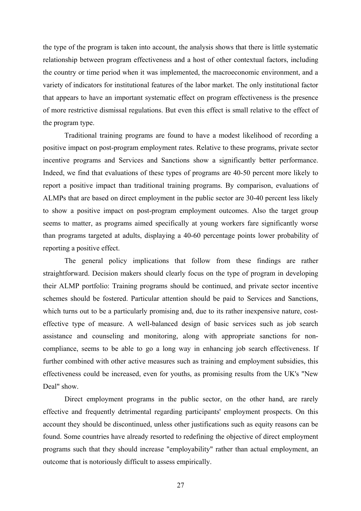the type of the program is taken into account, the analysis shows that there is little systematic relationship between program effectiveness and a host of other contextual factors, including the country or time period when it was implemented, the macroeconomic environment, and a variety of indicators for institutional features of the labor market. The only institutional factor that appears to have an important systematic effect on program effectiveness is the presence of more restrictive dismissal regulations. But even this effect is small relative to the effect of the program type.

Traditional training programs are found to have a modest likelihood of recording a positive impact on post-program employment rates. Relative to these programs, private sector incentive programs and Services and Sanctions show a significantly better performance. Indeed, we find that evaluations of these types of programs are 40-50 percent more likely to report a positive impact than traditional training programs. By comparison, evaluations of ALMPs that are based on direct employment in the public sector are 30-40 percent less likely to show a positive impact on post-program employment outcomes. Also the target group seems to matter, as programs aimed specifically at young workers fare significantly worse than programs targeted at adults, displaying a 40-60 percentage points lower probability of reporting a positive effect.

The general policy implications that follow from these findings are rather straightforward. Decision makers should clearly focus on the type of program in developing their ALMP portfolio: Training programs should be continued, and private sector incentive schemes should be fostered. Particular attention should be paid to Services and Sanctions, which turns out to be a particularly promising and, due to its rather inexpensive nature, costeffective type of measure. A well-balanced design of basic services such as job search assistance and counseling and monitoring, along with appropriate sanctions for noncompliance, seems to be able to go a long way in enhancing job search effectiveness. If further combined with other active measures such as training and employment subsidies, this effectiveness could be increased, even for youths, as promising results from the UK's "New Deal" show.

Direct employment programs in the public sector, on the other hand, are rarely effective and frequently detrimental regarding participants' employment prospects. On this account they should be discontinued, unless other justifications such as equity reasons can be found. Some countries have already resorted to redefining the objective of direct employment programs such that they should increase "employability" rather than actual employment, an outcome that is notoriously difficult to assess empirically.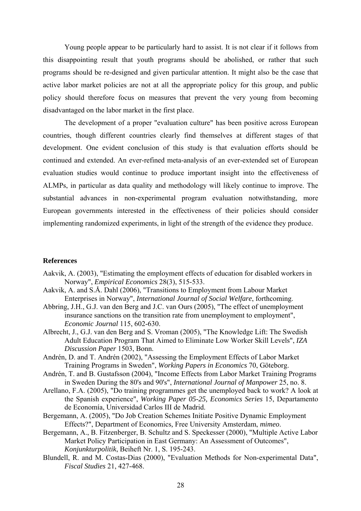Young people appear to be particularly hard to assist. It is not clear if it follows from this disappointing result that youth programs should be abolished, or rather that such programs should be re-designed and given particular attention. It might also be the case that active labor market policies are not at all the appropriate policy for this group, and public policy should therefore focus on measures that prevent the very young from becoming disadvantaged on the labor market in the first place.

The development of a proper "evaluation culture" has been positive across European countries, though different countries clearly find themselves at different stages of that development. One evident conclusion of this study is that evaluation efforts should be continued and extended. An ever-refined meta-analysis of an ever-extended set of European evaluation studies would continue to produce important insight into the effectiveness of ALMPs, in particular as data quality and methodology will likely continue to improve. The substantial advances in non-experimental program evaluation notwithstanding, more European governments interested in the effectiveness of their policies should consider implementing randomized experiments, in light of the strength of the evidence they produce.

### **References**

- Aakvik, A. (2003), "Estimating the employment effects of education for disabled workers in Norway", *Empirical Economics* 28(3), 515-533.
- Aakvik, A. and S.Å. Dahl (2006), "Transitions to Employment from Labour Market Enterprises in Norway", *International Journal of Social Welfare*, forthcoming.
- Abbring, J.H., G.J. van den Berg and J.C. van Ours (2005), "The effect of unemployment insurance sanctions on the transition rate from unemployment to employment", *Economic Journal* 115, 602-630.
- Albrecht, J., G.J. van den Berg and S. Vroman (2005), "The Knowledge Lift: The Swedish Adult Education Program That Aimed to Eliminate Low Worker Skill Levels", *IZA Discussion Paper* 1503, Bonn.
- Andrén, D. and T. Andrén (2002), "Assessing the Employment Effects of Labor Market Training Programs in Sweden", *Working Papers in Economics* 70, Göteborg.
- Andrén, T. and B. Gustafsson (2004), "Income Effects from Labor Market Training Programs in Sweden During the 80's and 90's", *International Journal of Manpower* 25, no. 8.
- Arellano, F.A. (2005), "Do training programmes get the unemployed back to work? A look at the Spanish experience", *Working Paper 05-25, Economics Series* 15, Departamento de Economía, Universidad Carlos III de Madrid.
- Bergemann, A. (2005), "Do Job Creation Schemes Initiate Positive Dynamic Employment Effects?", Department of Economics*,* Free University Amsterdam, *mimeo*.
- Bergemann, A., B. Fitzenberger, B. Schultz and S. Speckesser (2000), "Multiple Active Labor Market Policy Participation in East Germany: An Assessment of Outcomes", *Konjunkturpolitik*, Beiheft Nr. 1, S. 195-243.
- Blundell, R. and M. Costas-Dias (2000), "Evaluation Methods for Non-experimental Data", *Fiscal Studies* 21, 427-468.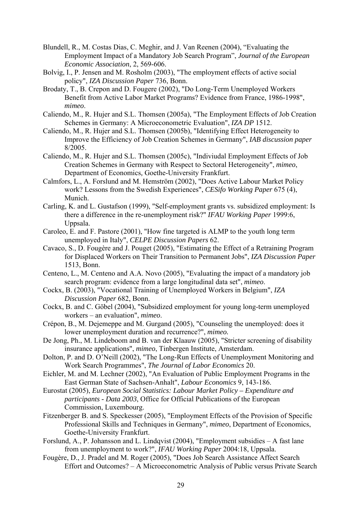- Blundell, R., M. Costas Dias, C. Meghir, and J. Van Reenen (2004), "Evaluating the Employment Impact of a Mandatory Job Search Program", *Journal of the European Economic Association*, 2, 569-606.
- Bolvig, I., P. Jensen and M. Rosholm (2003), "The employment effects of active social policy", *IZA Discussion Paper* 736, Bonn.
- Brodaty, T., B. Crepon and D. Fougere (2002), "Do Long-Term Unemployed Workers Benefit from Active Labor Market Programs? Evidence from France, 1986-1998", *mimeo*.
- Caliendo, M., R. Hujer and S.L. Thomsen (2005a), "The Employment Effects of Job Creation Schemes in Germany: A Microeconometric Evaluation", *IZA DP* 1512.
- Caliendo, M., R. Hujer and S.L. Thomsen (2005b), "Identifying Effect Heterogeneity to Improve the Efficiency of Job Creation Schemes in Germany", *IAB discussion paper* 8/2005.
- Caliendo, M., R. Hujer and S.L. Thomsen (2005c), "Indiviudal Employment Effects of Job Creation Schemes in Germany with Respect to Sectoral Heterogeneity", *mimeo*, Department of Economics*,* Goethe-University Frankfurt.
- Calmfors, L., A. Forslund and M. Hemström (2002), "Does Active Labour Market Policy work? Lessons from the Swedish Experiences", *CESifo Working Paper* 675 (4), Munich.
- Carling, K. and L. Gustafson (1999), "Self-employment grants vs. subsidized employment: Is there a difference in the re-unemployment risk?" *IFAU Working Paper* 1999:6, Uppsala.
- Caroleo, E. and F. Pastore (2001), "How fine targeted is ALMP to the youth long term unemployed in Italy", *CELPE Discussion Papers* 62.
- Cavaco, S., D. Fougère and J. Pouget (2005), "Estimating the Effect of a Retraining Program for Displaced Workers on Their Transition to Permanent Jobs", *IZA Discussion Paper* 1513, Bonn.
- Centeno, L., M. Centeno and A.A. Novo (2005), "Evaluating the impact of a mandatory job search program: evidence from a large longitudinal data set", *mimeo*.
- Cockx, B. (2003), "Vocational Training of Unemployed Workers in Belgium", *IZA Discussion Paper* 682, Bonn.
- Cockx, B. and C. Göbel (2004), "Subsidized employment for young long-term unemployed workers – an evaluation", *mimeo*.
- Crépon, B., M. Dejemeppe and M. Gurgand (2005), "Counseling the unemployed: does it lower unemployment duration and recurrence?", *mimeo.*
- De Jong, Ph., M. Lindeboom and B. van der Klaauw (2005), "Stricter screening of disability insurance applications", *mimeo*, Tinbergen Institute, Amsterdam.
- Dolton, P. and D. O'Neill (2002), "The Long-Run Effects of Unemployment Monitoring and Work Search Programmes", *The Journal of Labor Economics* 20.
- Eichler, M. and M. Lechner (2002), "An Evaluation of Public Employment Programs in the East German State of Sachsen-Anhalt", *Labour Economics* 9, 143-186.
- Eurostat (2005), *European Social Statistics: Labour Market Policy Expenditure and participants - Data 2003*, Office for Official Publications of the European Commission, Luxembourg.
- Fitzenberger B. and S. Speckesser (2005), "Employment Effects of the Provision of Specific Professional Skills and Techniques in Germany", *mimeo*, Department of Economics, Goethe-University Frankfurt.
- Forslund, A., P. Johansson and L. Lindqvist (2004), "Employment subsidies A fast lane from unemployment to work?", *IFAU Working Paper* 2004:18, Uppsala.
- Fougère, D., J. Pradel and M. Roger (2005), "Does Job Search Assistance Affect Search Effort and Outcomes? – A Microeconometric Analysis of Public versus Private Search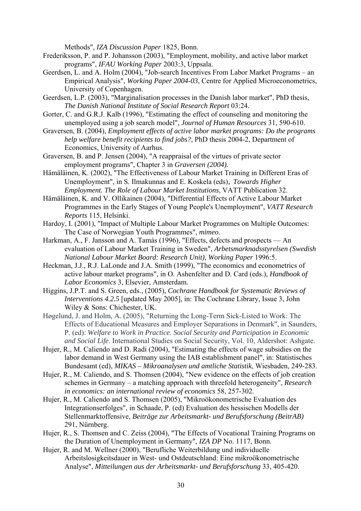Methods", *IZA Discussion Paper* 1825, Bonn.

- Frederiksson, P. and P. Johansson (2003), "Employment, mobility, and active labor market programs", *IFAU Working Paper* 2003:3, Uppsala.
- Geerdsen, L. and A. Holm (2004), "Job-search Incentives From Labor Market Programs an Empirical Analysis", *Working Paper 2004-03*, Centre for Applied Microeconometrics, University of Copenhagen.
- Geerdsen, L.P. (2003), "Marginalisation processes in the Danish labor market", PhD thesis, *The Danish National Institute of Social Research Report* 03:24.
- Gorter, C. and G.R.J. Kalb (1996), "Estimating the effect of counseling and monitoring the unemployed using a job search model", *Journal of Human Resources* 31, 590-610.
- Graversen, B. (2004), *Employment effects of active labor market programs: Do the programs help welfare benefit recipients to find jobs?*, PhD thesis 2004-2, Department of Economics, University of Aarhus.
- Graversen, B. and P. Jensen (2004), "A reappraisal of the virtues of private sector employment programs", Chapter 3 in *Graversen (2004).*
- Hämäläinen, K. (2002), "The Effectiveness of Labour Market Training in Different Eras of Unemployment", in S. Ilmakunnas and E. Koskela (eds), *Towards Higher Employment. The Role of Labour Market Institutions*, VATT Publication 32.
- Hämäläinen, K. and V. Ollikainen (2004), "Differential Effects of Active Labour Market Programmes in the Early Stages of Young People's Unemployment", *VATT Research Reports* 115, Helsinki.
- Hardoy, I. (2001), "Impact of Multiple Labour Market Programmes on Multiple Outcomes: The Case of Norwegian Youth Programmes", *mimeo*.
- Harkman, A., F. Jansson and A. Tamás (1996), "Effects, defects and prospects An evaluation of Labour Market Training in Sweden", *Arbetsmarknadsstyrelsen (Swedish National Labour Market Board: Research Unit), Working Paper* 1996:5.
- Heckman, J.J., R.J. LaLonde and J.A. Smith (1999), "The economics and econometrics of active labour market programs", in O. Ashenfelter and D. Card (eds.), *Handbook of Labor Economics* 3, Elsevier, Amsterdam.
- Higgins, J.P.T. and S. Green, eds., (2005), *Cochrane Handbook for Systematic Reviews of Interventions 4.2.5* [updated May 2005], in: The Cochrane Library, Issue 3, John Wiley & Sons: Chichester, UK.
- Høgelund, J. and Holm, A. (2005), "Returning the Long-Term Sick-Listed to Work: The Effects of Educational Measures and Employer Separations in Denmark", in Saunders, P. (ed): *Welfare to Work in Practice. Social Security and Participation in Economic and Social Life*. International Studies on Social Security, Vol. 10, Aldershot: Ashgate.
- Hujer, R., M. Caliendo and D. Radi (2004), "Estimating the effects of wage subsidies on the labor demand in West Germany using the IAB establishment panel", in: Statistisches Bundesamt (ed), *MIKAS – Mikroanalysen und amtliche Statistik*, Wiesbaden, 249-283.
- Hujer, R., M. Caliendo, and S. Thomsen (2004), "New evidence on the effects of job creation schemes in Germany – a matching approach with threefold heterogeneity", *Research in economics: an international review of economics* 58, 257-302.
- Hujer, R., M. Caliendo and S. Thomsen (2005), "Mikroökonometrische Evaluation des Integrationserfolges", in Schaade, P. (ed) Evaluation des hessischen Modells der Stellenmarktoffensive, *Beiträge zur Arbeitsmarkt- und Berufsforschung (BeitrAB)* 291, Nürnberg.
- Hujer, R., S. Thomsen and C. Zeiss (2004), "The Effects of Vocational Training Programs on the Duration of Unemployment in Germany", *IZA DP* No. 1117, Bonn.
- Hujer, R. and M. Wellner (2000), "Berufliche Weiterbildung und individuelle Arbeitslosigkeitsdauer in West- und Ostdeutschland: Eine mikroökonometrische Analyse", *Mitteilungen aus der Arbeitsmarkt- und Berufsforschung* 33, 405-420.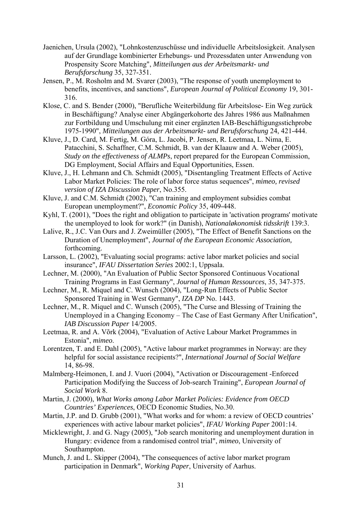- Jaenichen, Ursula (2002), "Lohnkostenzuschüsse und individuelle Arbeitslosigkeit. Analysen auf der Grundlage kombinierter Erhebungs- und Prozessdaten unter Anwendung von Prospensity Score Matching", *Mitteilungen aus der Arbeitsmarkt- und Berufsforschung* 35, 327-351.
- Jensen, P., M. Rosholm and M. Svarer (2003), "The response of youth unemployment to benefits, incentives, and sanctions", *European Journal of Political Economy* 19, 301- 316.
- Klose, C. and S. Bender (2000), "Berufliche Weiterbildung für Arbeitslose- Ein Weg zurück in Beschäftigung? Analyse einer Abgängerkohorte des Jahres 1986 aus Maßnahmen zur Fortbildung und Umschulung mit einer ergänzten IAB-Beschäftigungsstichprobe 1975-1990", *Mitteilungen aus der Arbeitsmarkt- und Berufsforschung* 24, 421-444.
- Kluve, J., D. Card, M. Fertig, M. Góra, L. Jacobi, P. Jensen, R. Leetmaa, L. Nima, E. Patacchini, S. Schaffner, C.M. Schmidt, B. van der Klaauw and A. Weber (2005), *Study on the effectiveness of ALMPs*, report prepared for the European Commission, DG Employment, Social Affairs and Equal Opportunities, Essen.
- Kluve, J., H. Lehmann and Ch. Schmidt (2005), "Disentangling Treatment Effects of Active Labor Market Policies: The role of labor force status sequences", *mimeo, revised version of IZA Discussion Paper*, No.355.
- Kluve, J. and C.M. Schmidt (2002), "Can training and employment subsidies combat European unemployment?", *Economic Policy* 35, 409-448.
- Kyhl, T. (2001), "Does the right and obligation to participate in 'activation programs' motivate the unemployed to look for work?" (in Danish), *Nationaløkonomisk tidsskrift* 139:3.
- Lalive, R., J.C. Van Ours and J. Zweimüller (2005), "The Effect of Benefit Sanctions on the Duration of Unemployment", *Journal of the European Economic Association,* forthcoming.
- Larsson, L. (2002), "Evaluating social programs: active labor market policies and social insurance", *IFAU Dissertation Series* 2002:1, Uppsala.
- Lechner, M. (2000), "An Evaluation of Public Sector Sponsored Continuous Vocational Training Programs in East Germany", *Journal of Human Ressources*, 35, 347-375.
- Lechner, M., R. Miquel and C. Wunsch (2004), "Long-Run Effects of Public Sector Sponsored Training in West Germany", *IZA DP* No. 1443.
- Lechner, M., R. Miquel and C. Wunsch (2005), "The Curse and Blessing of Training the Unemployed in a Changing Economy – The Case of East Germany After Unification", *IAB Discussion Paper* 14/2005.
- Leetmaa, R. and A. Võrk (2004), "Evaluation of Active Labour Market Programmes in Estonia", *mimeo*.
- Lorentzen, T. and E. Dahl (2005), "Active labour market programmes in Norway: are they helpful for social assistance recipients?", *International Journal of Social Welfare* 14, 86-98.
- Malmberg-Heimonen, I. and J. Vuori (2004), "Activation or Discouragement -Enforced Participation Modifying the Success of Job-search Training", *European Journal of Social Work* 8.
- Martin, J. (2000), *What Works among Labor Market Policies: Evidence from OECD Countries' Experiences*, OECD Economic Studies, No.30.
- Martin, J.P. and D. Grubb (2001), "What works and for whom: a review of OECD countries' experiences with active labour market policies", *IFAU Working Paper* 2001:14.
- Micklewright, J. and G. Nagy (2005), "Job search monitoring and unemployment duration in Hungary: evidence from a randomised control trial", *mimeo*, University of Southampton.
- Munch, J. and L. Skipper (2004), "The consequences of active labor market program participation in Denmark", *Working Paper*, University of Aarhus.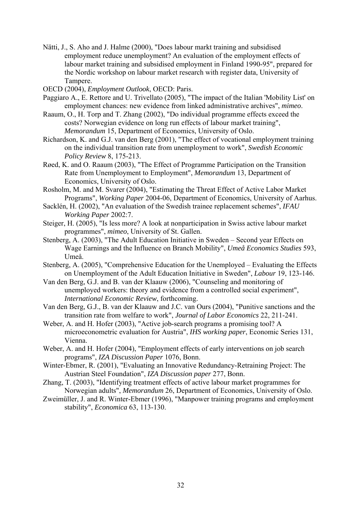- Nätti, J., S. Aho and J. Halme (2000), "Does labour markt training and subsidised employment reduce unemployment? An evaluation of the employment effects of labour market training and subsidised employment in Finland 1990-95", prepared for the Nordic workshop on labour market research with register data, University of Tampere.
- OECD (2004), *Employment Outlook*, OECD: Paris.
- Paggiaro A., E. Rettore and U. Trivellato (2005), "The impact of the Italian 'Mobility List' on employment chances: new evidence from linked administrative archives", *mimeo*.
- Raaum, O., H. Torp and T. Zhang (2002), "Do individual programme effects exceed the costs? Norwegian evidence on long run effects of labour market training", *Memorandum* 15, Department of Economics, University of Oslo.
- Richardson, K. and G.J. van den Berg (2001), "The effect of vocational employment training on the individual transition rate from unemployment to work", *Swedish Economic Policy Review* 8, 175-213.
- Røed, K. and O. Raaum (2003), "The Effect of Programme Participation on the Transition Rate from Unemployment to Employment", *Memorandum* 13, Department of Economics, University of Oslo.
- Rosholm, M. and M. Svarer (2004), "Estimating the Threat Effect of Active Labor Market Programs", *Working Paper* 2004-06, Department of Economics, University of Aarhus.
- Sacklén, H. (2002), "An evaluation of the Swedish trainee replacement schemes", *IFAU Working Paper* 2002:7.
- Steiger, H. (2005), "Is less more? A look at nonparticipation in Swiss active labour market programmes", *mimeo*, University of St. Gallen.
- Stenberg, A. (2003), "The Adult Education Initiative in Sweden Second year Effects on Wage Earnings and the Influence on Branch Mobility", *Umeå Economics Studies* 593, Umeå.
- Stenberg, A. (2005), "Comprehensive Education for the Unemployed Evaluating the Effects on Unemployment of the Adult Education Initiative in Sweden", *Labour* 19, 123-146.
- Van den Berg, G.J. and B. van der Klaauw (2006), "Counseling and monitoring of unemployed workers: theory and evidence from a controlled social experiment", *International Economic Review*, forthcoming.
- Van den Berg, G.J., B. van der Klaauw and J.C. van Ours (2004), "Punitive sanctions and the transition rate from welfare to work", *Journal of Labor Economics* 22, 211-241.
- Weber, A. and H. Hofer (2003), "Active job-search programs a promising tool? A microeconometric evaluation for Austria", *IHS working paper*, Economic Series 131, Vienna.
- Weber, A. and H. Hofer (2004), "Employment effects of early interventions on job search programs", *IZA Discussion Paper* 1076, Bonn.
- Winter-Ebmer, R. (2001), "Evaluating an Innovative Redundancy-Retraining Project: The Austrian Steel Foundation", *IZA Discussion paper* 277, Bonn.
- Zhang, T. (2003), "Identifying treatment effects of active labour market programmes for Norwegian adults", *Memorandum* 26, Department of Economics, University of Oslo.
- Zweimüller, J. and R. Winter-Ebmer (1996), "Manpower training programs and employment stability", *Economica* 63, 113-130.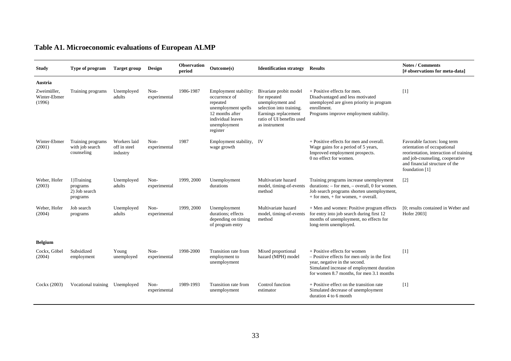| Study                                 | Type of program                                     | <b>Target group</b>                      | Design               | <b>Observation</b><br>period | Outcome(s)                                                                                                                                    | <b>Identification strategy</b>                                                                                                                               | <b>Results</b>                                                                                                                                                                                         | <b>Notes / Comments</b><br>[# observations for meta-data]                                                                                                                                    |
|---------------------------------------|-----------------------------------------------------|------------------------------------------|----------------------|------------------------------|-----------------------------------------------------------------------------------------------------------------------------------------------|--------------------------------------------------------------------------------------------------------------------------------------------------------------|--------------------------------------------------------------------------------------------------------------------------------------------------------------------------------------------------------|----------------------------------------------------------------------------------------------------------------------------------------------------------------------------------------------|
| Austria                               |                                                     |                                          |                      |                              |                                                                                                                                               |                                                                                                                                                              |                                                                                                                                                                                                        |                                                                                                                                                                                              |
| Zweimüller,<br>Winter-Ebmer<br>(1996) | Training programs                                   | Unemployed<br>adults                     | Non-<br>experimental | 1986-1987                    | Employment stability:<br>occurrence of<br>repeated<br>unemployment spells<br>12 months after<br>individual leaves<br>unemployment<br>register | Bivariate probit model<br>for repeated<br>unemployment and<br>selection into training.<br>Earnings replacement<br>ratio of UI benefits used<br>as instrument | + Positive effects for men.<br>Disadvantaged and less motivated<br>unemployed are given priority in program<br>enrollment.<br>Programs improve employment stability.                                   | [1]                                                                                                                                                                                          |
| Winter-Ebmer<br>(2001)                | Training programs<br>with job search<br>counseling  | Workers laid<br>off in steel<br>industry | Non-<br>experimental | 1987                         | Employment stability, IV<br>wage growth                                                                                                       |                                                                                                                                                              | + Positive effects for men and overall.<br>Wage gains for a period of 5 years,<br>Improved employment prospects.<br>0 no effect for women.                                                             | Favorable factors: long term<br>orientation of occupational<br>reorientation, interaction of training<br>and job-counseling, cooperative<br>and financial structure of the<br>foundation [1] |
| Weber, Hofer<br>(2003)                | 1)Training<br>programs<br>2) Job search<br>programs | Unemployed<br>adults                     | Non-<br>experimental | 1999, 2000                   | Unemployment<br>durations                                                                                                                     | Multivariate hazard<br>model, timing-of-events<br>method                                                                                                     | Training programs increase unemployment<br>durations: $-$ for men, $-$ overall, 0 for women.<br>Job search programs shorten unemployment,<br>$+$ for men, $+$ for women, $+$ overall.                  | $\lceil 2 \rceil$                                                                                                                                                                            |
| Weber, Hofer<br>(2004)                | Job search<br>programs                              | Unemployed<br>adults                     | Non-<br>experimental | 1999, 2000                   | Unemployment<br>durations: effects<br>depending on timing<br>of program entry                                                                 | Multivariate hazard<br>model, timing-of-events<br>method                                                                                                     | + Men and women: Positive program effects<br>for entry into job search during first 12<br>months of unemployment, no effects for<br>long-term unemployed.                                              | [0; results contained in Weber and<br>Hofer 2003]                                                                                                                                            |
| <b>Belgium</b>                        |                                                     |                                          |                      |                              |                                                                                                                                               |                                                                                                                                                              |                                                                                                                                                                                                        |                                                                                                                                                                                              |
| Cockx, Göbel<br>(2004)                | Subsidized<br>employment                            | Young<br>unemployed                      | Non-<br>experimental | 1998-2000                    | Transition rate from<br>employment to<br>unemployment                                                                                         | Mixed proportional<br>hazard (MPH) model                                                                                                                     | + Positive effects for women<br>- Positive effects for men only in the first<br>year, negative in the second.<br>Simulated increase of employment duration<br>for women 8.7 months, for men 3.1 months | [1]                                                                                                                                                                                          |
| Cockx (2003)                          | Vocational training Unemployed                      |                                          | Non-<br>experimental | 1989-1993                    | Transition rate from<br>unemployment                                                                                                          | Control function<br>estimator                                                                                                                                | + Positive effect on the transition rate<br>Simulated decrease of unemployment<br>duration 4 to 6 month                                                                                                | $[1]$                                                                                                                                                                                        |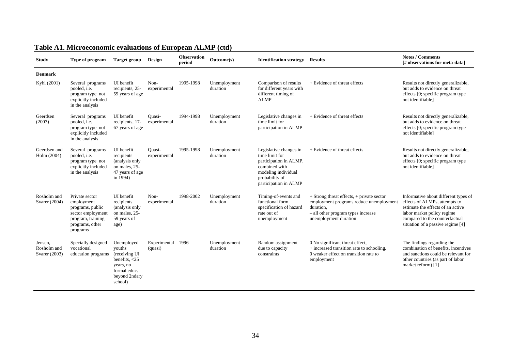| <b>Study</b>                            | Type of program                                                                                                           | <b>Target group</b>                                                                                                | <b>Design</b>           | <b>Observation</b><br>period | Outcome(s)               | <b>Identification strategy</b>                                                                                                                        | <b>Results</b>                                                                                                                                                       | <b>Notes / Comments</b><br>[# observations for meta-data]                                                                                                                                                       |
|-----------------------------------------|---------------------------------------------------------------------------------------------------------------------------|--------------------------------------------------------------------------------------------------------------------|-------------------------|------------------------------|--------------------------|-------------------------------------------------------------------------------------------------------------------------------------------------------|----------------------------------------------------------------------------------------------------------------------------------------------------------------------|-----------------------------------------------------------------------------------------------------------------------------------------------------------------------------------------------------------------|
| <b>Denmark</b>                          |                                                                                                                           |                                                                                                                    |                         |                              |                          |                                                                                                                                                       |                                                                                                                                                                      |                                                                                                                                                                                                                 |
| Kyhl (2001)                             | Several programs<br>pooled, i.e.<br>program type not<br>explicitly included<br>in the analysis                            | UI benefit<br>recipients, 25-<br>59 years of age                                                                   | Non-<br>experimental    | 1995-1998                    | Unemployment<br>duration | Comparison of results<br>for different years with<br>different timing of<br><b>ALMP</b>                                                               | + Evidence of threat effects                                                                                                                                         | Results not directly generalizable,<br>but adds to evidence on threat<br>effects [0; specific program type<br>not identifiable]                                                                                 |
| Geerdsen<br>(2003)                      | Several programs<br>pooled, i.e.<br>program type not<br>explicitly included<br>in the analysis                            | UI benefit<br>recipients, 17-<br>67 years of age                                                                   | Ouasi-<br>experimental  | 1994-1998                    | Unemployment<br>duration | Legislative changes in<br>time limit for<br>participation in ALMP                                                                                     | + Evidence of threat effects                                                                                                                                         | Results not directly generalizable,<br>but adds to evidence on threat<br>effects [0; specific program type<br>not identifiable]                                                                                 |
| Geerdsen and<br>Holm (2004)             | Several programs<br>pooled, i.e.<br>program type not<br>explicitly included<br>in the analysis                            | UI benefit<br>recipients<br>(analysis only<br>on males, 25-<br>47 years of age<br>in 1994)                         | Ouasi-<br>experimental  | 1995-1998                    | Unemployment<br>duration | Legislative changes in<br>time limit for<br>participation in ALMP,<br>combined with<br>modeling individual<br>probability of<br>participation in ALMP | + Evidence of threat effects                                                                                                                                         | Results not directly generalizable,<br>but adds to evidence on threat<br>effects [0; specific program type<br>not identifiable]                                                                                 |
| Rosholm and<br>Svarer (2004)            | Private sector<br>employment<br>programs, public<br>sector employment<br>program, training<br>programs, other<br>programs | UI benefit<br>recipients<br>(analysis only<br>on males, 25-<br>59 years of<br>age)                                 | Non-<br>experimental    | 1998-2002                    | Unemployment<br>duration | Timing-of-events and<br>functional form<br>specification of hazard<br>rate out of<br>unemployment                                                     | $+$ Strong threat effects, $+$ private sector<br>employment programs reduce unemployment<br>duration.<br>- all other program types increase<br>unemployment duration | Informative about different types of<br>effects of ALMPs, attempts to<br>estimate the effects of an active<br>labor market policy regime<br>compared to the counterfactual<br>situation of a passive regime [4] |
| Jensen.<br>Rosholm and<br>Svarer (2003) | Specially designed<br>vocational<br>education programs                                                                    | Unemployed<br>youths<br>(receiving UI<br>benefits, $<$ 25<br>years, no<br>formal educ.<br>beyond 2ndary<br>school) | Experimental<br>(quasi) | 1996                         | Unemployment<br>duration | Random assignment<br>due to capacity<br>constraints                                                                                                   | 0 No significant threat effect,<br>+ increased transition rate to schooling,<br>0 weaker effect on transition rate to<br>employment                                  | The findings regarding the<br>combination of benefits, incentives<br>and sanctions could be relevant for<br>other countries (as part of labor<br>market reform) [1]                                             |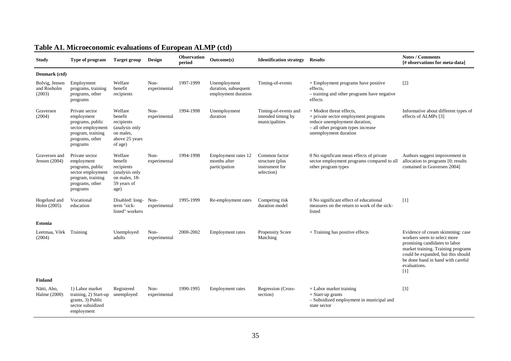| Study                                   | Type of program                                                                                                           | <b>Target group</b>                                                                          | <b>Design</b>        | <b>Observation</b><br>period | Outcome(s)                                                  | <b>Identification strategy</b>                                   | <b>Results</b>                                                                                                                                                   | <b>Notes / Comments</b><br>[# observations for meta-data]                                                                                                                                                                                |
|-----------------------------------------|---------------------------------------------------------------------------------------------------------------------------|----------------------------------------------------------------------------------------------|----------------------|------------------------------|-------------------------------------------------------------|------------------------------------------------------------------|------------------------------------------------------------------------------------------------------------------------------------------------------------------|------------------------------------------------------------------------------------------------------------------------------------------------------------------------------------------------------------------------------------------|
| Denmark (ctd)                           |                                                                                                                           |                                                                                              |                      |                              |                                                             |                                                                  |                                                                                                                                                                  |                                                                                                                                                                                                                                          |
| Bolvig, Jensen<br>and Rosholm<br>(2003) | Employment<br>programs, training<br>programs, other<br>programs                                                           | Welfare<br>benefit<br>recipients                                                             | Non-<br>experimental | 1997-1999                    | Unemployment<br>duration, subsequent<br>employment duration | Timing-of-events                                                 | + Employment programs have positive<br>effects.<br>- training and other programs have negative<br>effects                                                        | $[2]$                                                                                                                                                                                                                                    |
| Graversen<br>(2004)                     | Private sector<br>employment<br>programs, public<br>sector employment<br>program, training<br>programs, other<br>programs | Welfare<br>benefit<br>recipients<br>(analysis only<br>on males.<br>above 25 years<br>of age) | Non-<br>experimental | 1994-1998                    | Unemployment<br>duration                                    | Timing-of-events and<br>intended timing by<br>municipalities     | + Modest threat effects,<br>+ private sector employment programs<br>reduce unemployment duration,<br>- all other program types increase<br>unemployment duration | Informative about different types of<br>effects of ALMPs [3]                                                                                                                                                                             |
| Graversen and<br>Jensen $(2004)$        | Private sector<br>employment<br>programs, public<br>sector employment<br>program, training<br>programs, other<br>programs | Welfare<br>benefit<br>recipients<br>(analysis only<br>on males, 18-<br>59 years of<br>age)   | Non-<br>experimental | 1994-1998                    | Employment rates 12<br>months after<br>participation        | Common factor<br>structure (plus<br>instrument for<br>selection) | 0 No significant mean effects of private<br>sector employment programs compared to all<br>other program types                                                    | Authors suggest improvement in<br>allocation to programs [0; results<br>contained in Graversen 2004]                                                                                                                                     |
| Hogelund and<br>Holm (2005)             | Vocational<br>education                                                                                                   | Disabled: long-<br>term "sick-<br>listed" workers                                            | Non-<br>experimental | 1995-1999                    | Re-employment rates                                         | Competing risk<br>duration model                                 | 0 No significant effect of educational<br>measures on the return to work of the sick-<br>listed                                                                  | [1]                                                                                                                                                                                                                                      |
| Estonia                                 |                                                                                                                           |                                                                                              |                      |                              |                                                             |                                                                  |                                                                                                                                                                  |                                                                                                                                                                                                                                          |
| Leetmaa, Võrk Training<br>(2004)        |                                                                                                                           | Unemployed<br>adults                                                                         | Non-<br>experimental | 2000-2002                    | <b>Employment</b> rates                                     | Propensity Score<br>Matching                                     | + Training has positive effects                                                                                                                                  | Evidence of cream skimming: case<br>workers seem to select more<br>promising candidates to labor<br>market training. Training programs<br>could be expanded, but this should<br>be done hand in hand with careful<br>evaluations.<br>[1] |
| <b>Finland</b>                          |                                                                                                                           |                                                                                              |                      |                              |                                                             |                                                                  |                                                                                                                                                                  |                                                                                                                                                                                                                                          |
| Nätti, Aho,<br>Halme (2000)             | 1) Labor market<br>training, 2) Start-up<br>grants, 3) Public<br>sector subsidized<br>employment                          | Registered<br>unemployed                                                                     | Non-<br>experimental | 1990-1995                    | <b>Employment</b> rates                                     | Regression (Cross-<br>section)                                   | + Labor market training<br>$+$ Start-up grants<br>- Subsidized employment in municipal and<br>state sector                                                       | $[3]$                                                                                                                                                                                                                                    |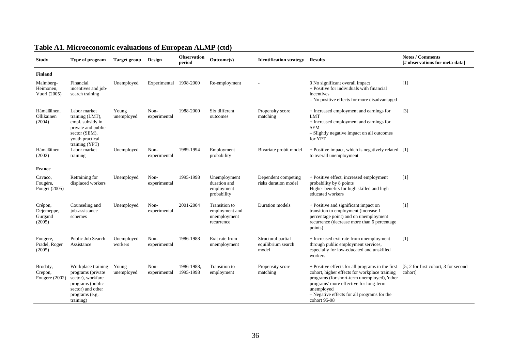| Study                                      | Type of program                                                                                                                      | <b>Target group</b>   | <b>Design</b>          | <b>Observation</b><br>period | Outcome(s)                                                    | <b>Identification strategy</b>                    | <b>Results</b>                                                                                                                                                                                                                                                           | <b>Notes / Comments</b><br>[# observations for meta-data] |
|--------------------------------------------|--------------------------------------------------------------------------------------------------------------------------------------|-----------------------|------------------------|------------------------------|---------------------------------------------------------------|---------------------------------------------------|--------------------------------------------------------------------------------------------------------------------------------------------------------------------------------------------------------------------------------------------------------------------------|-----------------------------------------------------------|
| <b>Finland</b>                             |                                                                                                                                      |                       |                        |                              |                                                               |                                                   |                                                                                                                                                                                                                                                                          |                                                           |
| Malmberg-<br>Heimonen,<br>Vuori (2005)     | Financial<br>incentives and job-<br>search training                                                                                  | Unemployed            | Experimental 1998-2000 |                              | Re-employment                                                 |                                                   | 0 No significant overall impact<br>+ Positive for individuals with financial<br>incentives<br>- No positive effects for more disadvantaged                                                                                                                               | $[1]$                                                     |
| Hämäläinen,<br>Ollikainen<br>(2004)        | Labor market<br>training (LMT),<br>empl. subsidy in<br>private and public<br>sector (SEM),<br>youth practical<br>training (YPT)      | Young<br>unemployed   | Non-<br>experimental   | 1988-2000                    | Six different<br>outcomes                                     | Propensity score<br>matching                      | + Increased employment and earnings for<br><b>LMT</b><br>+ Increased employment and earnings for<br><b>SEM</b><br>- Slightly negative impact on all outcomes<br>for YPT                                                                                                  | $\lceil 3 \rceil$                                         |
| Hämäläinen<br>(2002)                       | Labor market<br>training                                                                                                             | Unemployed            | Non-<br>experimental   | 1989-1994                    | Employment<br>probability                                     | Bivariate probit model                            | $+$ Positive impact, which is negatively related [1]<br>to overall unemployment                                                                                                                                                                                          |                                                           |
| <b>France</b>                              |                                                                                                                                      |                       |                        |                              |                                                               |                                                   |                                                                                                                                                                                                                                                                          |                                                           |
| Cavaco,<br>Fougère,<br>Pouget (2005)       | Retraining for<br>displaced workers                                                                                                  | Unemployed            | Non-<br>experimental   | 1995-1998                    | Unemployment<br>duration and<br>employment<br>probability     | Dependent competing<br>risks duration model       | + Positive effect, increased employment<br>probability by 8 points<br>Higher benefits for high skilled and high<br>educated workers                                                                                                                                      | [1]                                                       |
| Crépon,<br>Dejemeppe,<br>Gurgand<br>(2005) | Counseling and<br>job-assistance<br>schemes                                                                                          | Unemployed            | Non-<br>experimental   | 2001-2004                    | Transition to<br>employment and<br>unemployment<br>recurrence | Duration models                                   | + Positive and significant impact on<br>transition to employment (increase 1<br>percentage point) and on unemployment<br>recurrence (decrease more than 6 percentage<br>points)                                                                                          | $[1]$                                                     |
| Fougere,<br>Pradel, Roger<br>(2005)        | Public Job Search<br>Assistance                                                                                                      | Unemployed<br>workers | Non-<br>experimental   | 1986-1988                    | Exit rate from<br>unemployment                                | Structural partial<br>equilibrium search<br>model | + Increased exit rate from unemployment<br>through public employment services,<br>especially for low-educated and unskilled<br>workers                                                                                                                                   | $[1]$                                                     |
| Brodaty,<br>Crepon,<br>Fougere (2002)      | Workplace training<br>programs (private<br>sector), workfare<br>programs (public<br>sector) and other<br>programs (e.g.<br>training) | Young<br>unemployed   | Non-<br>experimental   | 1986-1988,<br>1995-1998      | Transition to<br>employment                                   | Propensity score<br>matching                      | + Positive effects for all programs in the first<br>cohort, higher effects for workplace training<br>programs (for short-term unemployed), 'other<br>programs' more effective for long-term<br>unemployed<br>- Negative effects for all programs for the<br>cohort 95-98 | [5; 2 for first cohort, 3 for second<br>cohort]           |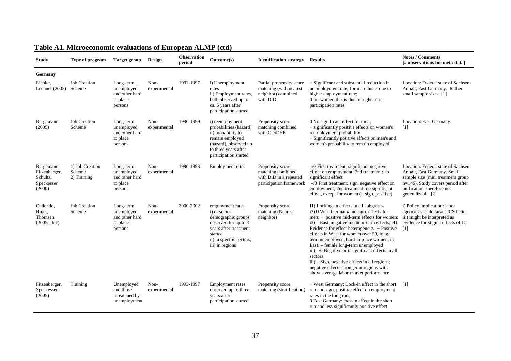| Study                                                           | Type of program                          | Target group                                                     | <b>Design</b>        | <b>Observation</b><br>period | Outcome(s)                                                                                                                                                        | <b>Identification strategy</b>                                                             | <b>Results</b>                                                                                                                                                                                                                                                                                                                                                                                                                                                                                                                                                                        | <b>Notes / Comments</b><br>[# observations for meta-data]                                                                                                                                           |
|-----------------------------------------------------------------|------------------------------------------|------------------------------------------------------------------|----------------------|------------------------------|-------------------------------------------------------------------------------------------------------------------------------------------------------------------|--------------------------------------------------------------------------------------------|---------------------------------------------------------------------------------------------------------------------------------------------------------------------------------------------------------------------------------------------------------------------------------------------------------------------------------------------------------------------------------------------------------------------------------------------------------------------------------------------------------------------------------------------------------------------------------------|-----------------------------------------------------------------------------------------------------------------------------------------------------------------------------------------------------|
| Germany                                                         |                                          |                                                                  |                      |                              |                                                                                                                                                                   |                                                                                            |                                                                                                                                                                                                                                                                                                                                                                                                                                                                                                                                                                                       |                                                                                                                                                                                                     |
| Eichler,<br>Lechner $(2002)$                                    | <b>Job Creation</b><br>Scheme            | Long-term<br>unemployed<br>and other hard<br>to place<br>persons | Non-<br>experimental | 1992-1997                    | i) Unemployment<br>rates<br>ii) Employment rates,<br>both observed up to<br>ca. 5 years after<br>participation started                                            | Partial propensity score<br>matching (with nearest)<br>neighbor) combined<br>with DiD      | + Significant and substantial reduction in<br>unemployment rate; for men this is due to<br>higher employment rate;<br>0 for women this is due to higher non-<br>participation rates                                                                                                                                                                                                                                                                                                                                                                                                   | Location: Federal state of Sachsen-<br>Anhalt, East Germany. Rather<br>small sample sizes. [1]                                                                                                      |
| Bergemann<br>(2005)                                             | <b>Job Creation</b><br>Scheme            | Long-term<br>unemployed<br>and other hard<br>to place<br>persons | Non-<br>experimental | 1990-1999                    | i) reemployment<br>probabilities (hazard)<br>ii) probability to<br>remain employed<br>(hazard), observed up<br>to three years after<br>participation started      | Propensity score<br>matching combined<br>with CDiDHR                                       | 0 No significant effect for men;<br>+ significantly positive effects on women's<br>reemployment probability<br>+ Significantly positive effects on men's and<br>women's probability to remain employed                                                                                                                                                                                                                                                                                                                                                                                | Location: East Germany.<br>$\lceil 1 \rceil$                                                                                                                                                        |
| Bergemann,<br>Fitzenberger,<br>Schultz,<br>Speckesser<br>(2000) | 1) Job Creation<br>Scheme<br>2) Training | Long-term<br>unemployed<br>and other hard<br>to place<br>persons | Non-<br>experimental | 1990-1998                    | <b>Employment</b> rates                                                                                                                                           | Propensity score<br>matching combined<br>with DiD in a repeated<br>participation framework | $-\prime$ 0 First treatment: significant negative<br>effect on employment; 2nd treatment: no<br>significant effect<br>$-\prime$ 0 First treatment: sign. negative effect on<br>employment; 2nd treatment: no significant<br>effect, except for women (+ sign. positive)                                                                                                                                                                                                                                                                                                               | Location: Federal state of Sachsen-<br>Anhalt, East Germany. Small<br>sample size (min. treatment group<br>$n=146$ ). Study covers period after<br>unification, therefore not<br>generalizable. [2] |
| Caliendo,<br>Hujer,<br>Thomsen<br>(2005a, b, c)                 | Job Creation<br>Scheme                   | Long-term<br>unemployed<br>and other hard<br>to place<br>persons | Non-<br>experimental | 2000-2002                    | employment rates<br>i) of socio-<br>demographic groups<br>observed for up to 3<br>years after treatment<br>started<br>ii) in specific sectors,<br>iii) in regions | Propensity score<br>matching (Nearest<br>neighbor)                                         | I1) Locking-in effects in all subgroups<br>i2) 0 West Germany: no sign. effects for<br>men; $+$ positive mid-term effects for women;<br>$i3$ ) – East: negative medium-term effects; $i4$ )<br>Evidence for effect heterogeneity: + Positive<br>effects in West for women over 50, long-<br>term unemployed, hard-to-place women; in<br>East: - female long-term unemployed<br>ii) $-$ /0 Negative or insignificant effects in all<br>sectors<br>iii) - Sign. negative effects in all regions;<br>negative effects stronger in regions with<br>above average labor market performance | i) Policy implication: labor<br>agencies should target JCS better<br>iii) might be interpreted as<br>evidence for stigma effects of JC<br>$\lceil 1 \rceil$                                         |
| Fitzenberger,<br>Speckesser<br>(2005)                           | Training                                 | Unemployed<br>and those<br>threatened by<br>unemployment         | Non-<br>experimental | 1993-1997                    | <b>Employment</b> rates<br>observed up to three<br>years after<br>participation started                                                                           | Propensity score<br>matching (stratification)                                              | + West Germany: Lock-in effect in the short<br>run and sign. positive effect on employment<br>rates in the long run,<br>0 East Germany: lock-in effect in the short<br>run and less significantly positive effect                                                                                                                                                                                                                                                                                                                                                                     | $\lceil 1 \rceil$                                                                                                                                                                                   |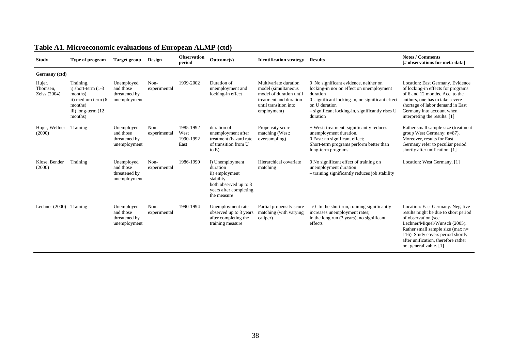| Study                              | Type of program                                                                                                   | Target group                                             | Design               | <b>Observation</b><br>period           | Outcome(s)                                                                                                                   | <b>Identification strategy</b>                                                                                                            | <b>Results</b>                                                                                                                                                                                                                   | <b>Notes / Comments</b><br>[# observations for meta-data]                                                                                                                                                                                                                  |
|------------------------------------|-------------------------------------------------------------------------------------------------------------------|----------------------------------------------------------|----------------------|----------------------------------------|------------------------------------------------------------------------------------------------------------------------------|-------------------------------------------------------------------------------------------------------------------------------------------|----------------------------------------------------------------------------------------------------------------------------------------------------------------------------------------------------------------------------------|----------------------------------------------------------------------------------------------------------------------------------------------------------------------------------------------------------------------------------------------------------------------------|
| Germany (ctd)                      |                                                                                                                   |                                                          |                      |                                        |                                                                                                                              |                                                                                                                                           |                                                                                                                                                                                                                                  |                                                                                                                                                                                                                                                                            |
| Hujer,<br>Thomsen,<br>Zeiss (2004) | Training,<br>$i)$ short-term $(1-3)$<br>months)<br>ii) medium term (6<br>months)<br>iii) long-term (12<br>months) | Unemployed<br>and those<br>threatened by<br>unemployment | Non-<br>experimental | 1999-2002                              | Duration of<br>unemployment and<br>locking-in effect                                                                         | Multivariate duration<br>model (simultaneous<br>model of duration until<br>treatment and duration<br>until transition into<br>employment) | 0 No significant evidence, neither on<br>locking-in nor on effect on unemployment<br>duration<br>0 significant locking-in, no significant effect<br>on U duration<br>- significant locking-in, significantly rises U<br>duration | Location: East Germany. Evidence<br>of locking-in effects for programs<br>of 6 and 12 months. Acc. to the<br>authors, one has to take severe<br>shortage of labor demand in East<br>Germany into account when<br>interpreting the results. [1]                             |
| Hujer, Wellner<br>(2000)           | Training                                                                                                          | Unemployed<br>and those<br>threatened by<br>unemployment | Non-<br>experimental | 1985-1992<br>West<br>1990-1992<br>East | duration of<br>unemployment after<br>treatment (hazard rate<br>of transition from U<br>to $E$ )                              | Propensity score<br>matching (West:<br>oversampling)                                                                                      | + West: treatment significantly reduces<br>unemployment duration,<br>0 East: no significant effect;<br>Short-term programs perform better than<br>long-term programs                                                             | Rather small sample size (treatment<br>group West Germany: n=87).<br>Moreover, results for East<br>Germany refer to peculiar period<br>shortly after unification. [1]                                                                                                      |
| Klose, Bender<br>(2000)            | Training                                                                                                          | Unemployed<br>and those<br>threatened by<br>unemployment | Non-<br>experimental | 1986-1990                              | i) Unemployment<br>duration<br>ii) employment<br>stability<br>both observed up to 3<br>years after completing<br>the measure | Hierarchical covariate<br>matching                                                                                                        | 0 No significant effect of training on<br>unemployment duration<br>- training significantly reduces job stability                                                                                                                | Location: West Germany. [1]                                                                                                                                                                                                                                                |
| Lechner (2000) Training            |                                                                                                                   | Unemployed<br>and those<br>threatened by<br>unemployment | Non-<br>experimental | 1990-1994                              | Unemployment rate<br>observed up to 3 years<br>after completing the<br>training measure                                      | Partial propensity score<br>matching (with varying<br>caliper)                                                                            | $-\prime$ 0 In the short run, training significantly<br>increases unemployment rates;<br>in the long run (3 years), no significant<br>effects                                                                                    | Location: East Germany. Negative<br>results might be due to short period<br>of observation (see<br>Lechner/Miquel/Wunsch (2005).<br>Rather small sample size (max n=<br>116). Study covers period shortly<br>after unification, therefore rather<br>not generalizable. [1] |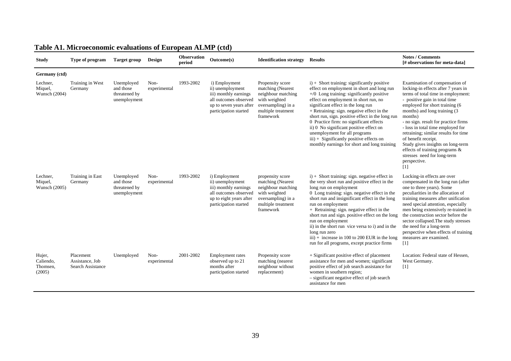| <b>Study</b>                                | Type of program                                   | <b>Target group</b>                                      | Design               | <b>Observation</b><br>period | Outcome(s)                                                                                                                              | <b>Identification strategy</b>                                                                                                        | <b>Results</b>                                                                                                                                                                                                                                                                                                                                                                                                                                                                                                                                    | <b>Notes / Comments</b><br>[# observations for meta-data]                                                                                                                                                                                                                                                                                                                                                                                                                                                             |
|---------------------------------------------|---------------------------------------------------|----------------------------------------------------------|----------------------|------------------------------|-----------------------------------------------------------------------------------------------------------------------------------------|---------------------------------------------------------------------------------------------------------------------------------------|---------------------------------------------------------------------------------------------------------------------------------------------------------------------------------------------------------------------------------------------------------------------------------------------------------------------------------------------------------------------------------------------------------------------------------------------------------------------------------------------------------------------------------------------------|-----------------------------------------------------------------------------------------------------------------------------------------------------------------------------------------------------------------------------------------------------------------------------------------------------------------------------------------------------------------------------------------------------------------------------------------------------------------------------------------------------------------------|
| Germany (ctd)                               |                                                   |                                                          |                      |                              |                                                                                                                                         |                                                                                                                                       |                                                                                                                                                                                                                                                                                                                                                                                                                                                                                                                                                   |                                                                                                                                                                                                                                                                                                                                                                                                                                                                                                                       |
| Lechner,<br>Miquel,<br><b>Wunsch (2004)</b> | Training in West<br>Germany                       | Unemployed<br>and those<br>threatened by<br>unemployment | Non-<br>experimental | 1993-2002                    | i) Employment<br>ii) unemployment<br>iii) monthly earnings<br>all outcomes observed<br>up to seven years after<br>participation started | Propensity score<br>matching (Nearest<br>neighbour matching<br>with weighted<br>oversampling) in a<br>multiple treatment<br>framework | $i$ ) + Short training: significantly positive<br>effect on employment in short and long run<br>$+/0$ Long training: significantly positive<br>effect on employment in short run, no<br>significant effect in the long run<br>$+$ Retraining: sign. negative effect in the<br>short run, sign. positive effect in the long run<br>0 Practice firm: no significant effects<br>ii) 0 No significant positive effect on<br>unemployment for all programs<br>iii) + Significantly positive effects on<br>monthly earnings for short and long training | Examination of compensation of<br>locking-in effects after 7 years in<br>terms of total time in employment:<br>- positive gain in total time<br>employed for short training (6)<br>months) and long training (3)<br>months)<br>- no sign. result for practice firms<br>- loss in total time employed for<br>retraining; similar results for time<br>of benefit receipt.<br>Study gives insights on long-term<br>effects of training programs $\&$<br>stresses need for long-term<br>perspective.<br>$\lceil 1 \rceil$ |
| Lechner,<br>Miquel,<br>Wunsch (2005)        | Training in East<br>Germany                       | Unemployed<br>and those<br>threatened by<br>unemployment | Non-<br>experimental | 1993-2002                    | i) Employment<br>ii) unemployment<br>iii) monthly earnings<br>all outcomes observed<br>up to eight years after<br>participation started | propensity score<br>matching (Nearest<br>neighbour matching<br>with weighted<br>oversampling) in a<br>multiple treatment<br>framework | i) + Short training: sign. negative effect in<br>the very short run and positive effect in the<br>long run on employment<br>0 Long training: sign. negative effect in the<br>short run and insignificant effect in the long<br>run on employment<br>+ Retraining: sign. negative effect in the<br>short run and sign. positive effect on the long<br>run on employment<br>ii) in the short run vice versa to i) and in the<br>long run zero<br>$iii) +$ increase in 100 to 200 EUR in the long<br>run for all programs, except practice firms     | Locking-in effects are over<br>compensated in the long run (after<br>one to three years). Some<br>peculiarities in the allocation of<br>training measures after unification<br>need special attention, especially<br>men being extensively re-trained in<br>the construction sector before the<br>sector collapsed. The study stresses<br>the need for a long-term<br>perspective when effects of training<br>measures are examined.<br>[1]                                                                           |
| Hujer,<br>Caliendo,<br>Thomsen,<br>(2005)   | Placement<br>Assistance, Job<br>Search Assistance | Unemployed                                               | Non-<br>experimental | 2001-2002                    | <b>Employment</b> rates<br>observed up to 21<br>months after<br>participation started                                                   | Propensity score<br>matching (nearest<br>neighbour without<br>replacement)                                                            | + Significant positive effect of placement<br>assistance for men and women; significant<br>positive effect of job search assistance for<br>women in southern region;<br>- significant negative effect of job search<br>assistance for men                                                                                                                                                                                                                                                                                                         | Location: Federal state of Hessen,<br>West Germany.<br>[1]                                                                                                                                                                                                                                                                                                                                                                                                                                                            |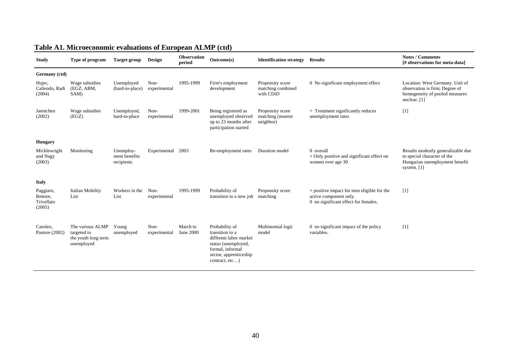| <b>Study</b>                                  | Type of program                                                      | <b>Target group</b>                      | Design               | $\sum_{i=1}^{n}$<br><b>Observation</b><br>period | Outcome(s)                                                                                                                                         | <b>Identification strategy</b>                     | <b>Results</b>                                                                                               | <b>Notes / Comments</b><br>[# observations for meta-data]                                                           |
|-----------------------------------------------|----------------------------------------------------------------------|------------------------------------------|----------------------|--------------------------------------------------|----------------------------------------------------------------------------------------------------------------------------------------------------|----------------------------------------------------|--------------------------------------------------------------------------------------------------------------|---------------------------------------------------------------------------------------------------------------------|
| Germany (ctd)                                 |                                                                      |                                          |                      |                                                  |                                                                                                                                                    |                                                    |                                                                                                              |                                                                                                                     |
| Hujer,<br>Caliendo, Radi<br>(2004)            | Wage subsidies<br>(EGZ, ABM,<br>SAM)                                 | Unemployed<br>(hard-to-place)            | Non-<br>experimental | 1995-1999                                        | Firm's employment<br>development                                                                                                                   | Propensity score<br>matching combined<br>with CDiD | 0 No significant employment effect                                                                           | Location: West Germany. Unit of<br>observation is firm; Degree of<br>homogeneity of pooled measures<br>unclear. [1] |
| Jaenichen<br>(2002)                           | Wage subsidies<br>(EGZ)                                              | Unemployed,<br>hard-to-place             | Non-<br>experimental | 1999-2001                                        | Being registered as<br>unemployed observed<br>up to 23 months after<br>participation started                                                       | Propensity score<br>matching (nearest<br>neighbor) | + Treatment significantly reduces<br>unemployment rates                                                      | $[1]$                                                                                                               |
| <b>Hungary</b>                                |                                                                      |                                          |                      |                                                  |                                                                                                                                                    |                                                    |                                                                                                              |                                                                                                                     |
| Micklewright<br>and Nagy<br>(2003)            | Monitoring                                                           | Unemploy-<br>ment benefits<br>recipients | Experimental         | 2003                                             | Re-employment rates                                                                                                                                | Duration model                                     | 0 overall<br>+ Only positive and significant effect on<br>women over age 30                                  | Results modestly generalizable due<br>to special character of the<br>Hungarian unemployment benefit<br>system. [1]  |
| <b>Italy</b>                                  |                                                                      |                                          |                      |                                                  |                                                                                                                                                    |                                                    |                                                                                                              |                                                                                                                     |
| Paggiaro,<br>Rettore,<br>Trivellato<br>(2005) | <b>Italian Mobility</b><br>List                                      | Workers in the<br>List                   | Non-<br>experimental | 1995-1999                                        | Probability of<br>transition to a new job                                                                                                          | Propensity score<br>matching                       | + positive impact for men eligible for the<br>active component only.<br>0 no significant effect for females. | $[1]$                                                                                                               |
| Caroleo,<br>Pastore (2002)                    | The various ALMP<br>targeted to<br>the youth long term<br>unemployed | Young<br>unemployed                      | Non-<br>experimental | March to<br><b>June 2000</b>                     | Probability of<br>transition to a<br>different labor market<br>status (unemployed,<br>formal, informal<br>sector, apprenticeship<br>contract, etc) | Multinomial logit<br>model                         | 0 no significant impact of the policy<br>variables.                                                          | [1]                                                                                                                 |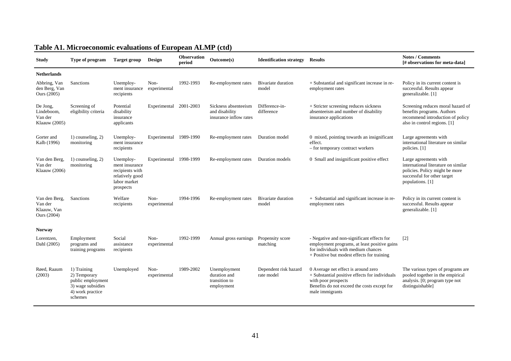| <b>Study</b>                                                  | Type of program                                                                                      | Target group                                                                                   | Design                 | <b>Observation</b><br>period | Outcome(s)                                                       | <b>Identification strategy</b>      | <b>Results</b>                                                                                                                                                                  | <b>Notes / Comments</b><br>[# observations for meta-data]                                                                                         |
|---------------------------------------------------------------|------------------------------------------------------------------------------------------------------|------------------------------------------------------------------------------------------------|------------------------|------------------------------|------------------------------------------------------------------|-------------------------------------|---------------------------------------------------------------------------------------------------------------------------------------------------------------------------------|---------------------------------------------------------------------------------------------------------------------------------------------------|
| <b>Netherlands</b>                                            |                                                                                                      |                                                                                                |                        |                              |                                                                  |                                     |                                                                                                                                                                                 |                                                                                                                                                   |
| Abbring, Van<br>den Berg, Van<br><b>Ours</b> (2005)           | Sanctions                                                                                            | Unemploy-<br>ment insurance<br>recipients                                                      | Non-<br>experimental   | 1992-1993                    | Re-employment rates                                              | Bivariate duration<br>model         | + Substantial and significant increase in re-<br>employment rates                                                                                                               | Policy in its current content is<br>successful. Results appear<br>generalizable. [1]                                                              |
| De Jong,<br>Lindeboom,<br>Van der<br>Klaauw (2005)            | Screening of<br>eligibility criteria                                                                 | Potential<br>disability<br>insurance<br>applicants                                             | Experimental 2001-2003 |                              | Sickness absenteeism<br>and disability<br>insurance inflow rates | Difference-in-<br>difference        | + Stricter screening reduces sickness<br>absenteeism and number of disability<br>insurance applications                                                                         | Screening reduces moral hazard of<br>benefits programs. Authors<br>recommend introduction of policy<br>also in control regions. [1]               |
| Gorter and<br>Kalb (1996)                                     | 1) counseling, 2)<br>monitoring                                                                      | Unemploy-<br>ment insurance<br>recipients                                                      | Experimental 1989-1990 |                              | Re-employment rates                                              | Duration model                      | 0 mixed, pointing towards an insignificant<br>effect.<br>- for temporary contract workers                                                                                       | Large agreements with<br>international literature on similar<br>policies. [1]                                                                     |
| Van den Berg,<br>Van der<br>Klaauw (2006)                     | 1) counseling, 2)<br>monitoring                                                                      | Unemploy-<br>ment insurance<br>recipients with<br>relatively good<br>labor market<br>prospects | Experimental 1998-1999 |                              | Re-employment rates                                              | Duration models                     | 0 Small and insignificant positive effect                                                                                                                                       | Large agreements with<br>international literature on similar<br>policies. Policy might be more<br>successful for other target<br>populations. [1] |
| Van den Berg,<br>Van der<br>Klaauw, Van<br><b>Ours</b> (2004) | Sanctions                                                                                            | Welfare<br>recipients                                                                          | Non-<br>experimental   | 1994-1996                    | Re-employment rates                                              | Bivariate duration<br>model         | + Substantial and significant increase in re-<br>employment rates                                                                                                               | Policy in its current content is<br>successful. Results appear<br>generalizable. [1]                                                              |
| <b>Norway</b>                                                 |                                                                                                      |                                                                                                |                        |                              |                                                                  |                                     |                                                                                                                                                                                 |                                                                                                                                                   |
| Lorentzen,<br>Dahl (2005)                                     | Employment<br>programs and<br>training programs                                                      | Social<br>assistance<br>recipients                                                             | Non-<br>experimental   | 1992-1999                    | Annual gross earnings                                            | Propensity score<br>matching        | - Negative and non-significant effects for<br>employment programs, at least positive gains<br>for individuals with medium chances<br>+ Positive but modest effects for training | $[2]$                                                                                                                                             |
| Røed, Raaum<br>(2003)                                         | 1) Training<br>2) Temporary<br>public employment<br>3) wage subsidies<br>4) work practice<br>schemes | Unemployed                                                                                     | Non-<br>experimental   | 1989-2002                    | Unemployment<br>duration and<br>transition to<br>employment      | Dependent risk hazard<br>rate model | 0 Average net effect is around zero<br>+ Substantial positive effects for individuals<br>with poor prospects<br>Benefits do not exceed the costs except for<br>male immigrants  | The various types of programs are<br>pooled together in the empirical<br>analysis. [0; program type not<br>distinguishable]                       |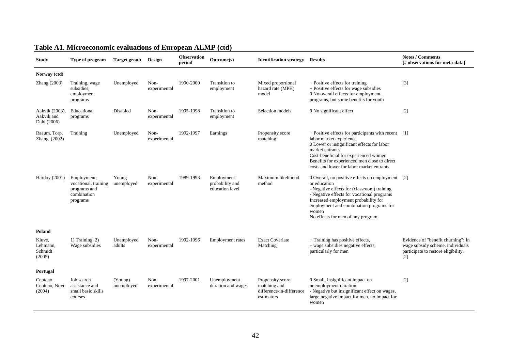| Study                                       | Type of program                                                                | Target group          | <b>Design</b>        | <b>Observation</b><br>period | Outcome(s)                                       | <b>Identification strategy</b>                                             | <b>Results</b>                                                                                                                                                                                                                                                                                 | <b>Notes / Comments</b><br>[# observations for meta-data]                                                              |
|---------------------------------------------|--------------------------------------------------------------------------------|-----------------------|----------------------|------------------------------|--------------------------------------------------|----------------------------------------------------------------------------|------------------------------------------------------------------------------------------------------------------------------------------------------------------------------------------------------------------------------------------------------------------------------------------------|------------------------------------------------------------------------------------------------------------------------|
| Norway (ctd)                                |                                                                                |                       |                      |                              |                                                  |                                                                            |                                                                                                                                                                                                                                                                                                |                                                                                                                        |
| Zhang $(2003)$                              | Training, wage<br>subsidies.<br>employment<br>programs                         | Unemployed            | Non-<br>experimental | 1990-2000                    | Transition to<br>employment                      | Mixed proportional<br>hazard rate (MPH)<br>model                           | + Positive effects for training<br>+ Positive effects for wage subsidies<br>0 No overall effects for employment<br>programs, but some benefits for youth                                                                                                                                       | [3]                                                                                                                    |
| Aakvik (2003),<br>Aakvik and<br>Dahl (2006) | Educational<br>programs                                                        | Disabled              | Non-<br>experimental | 1995-1998                    | Transition to<br>employment                      | Selection models                                                           | 0 No significant effect                                                                                                                                                                                                                                                                        | $[2]$                                                                                                                  |
| Raaum, Torp,<br>Zhang (2002)                | Training                                                                       | Unemployed            | Non-<br>experimental | 1992-1997                    | Earnings                                         | Propensity score<br>matching                                               | + Positive effects for participants with recent [1]<br>labor market experience<br>0 Lower or insignificant effects for labor<br>market entrants<br>Cost-beneficial for experienced women<br>Benefits for experienced men close to direct<br>costs and lower for labor market entrants          |                                                                                                                        |
| Hardoy (2001)                               | Employment,<br>vocational, training<br>programs and<br>combination<br>programs | Young<br>unemployed   | Non-<br>experimental | 1989-1993                    | Employment<br>probability and<br>education level | Maximum likelihood<br>method                                               | 0 Overall, no positive effects on employment [2]<br>or education<br>- Negative effects for (classroom) training<br>- Negative effects for vocational programs<br>Increased employment probability for<br>employment and combination programs for<br>women<br>No effects for men of any program |                                                                                                                        |
| Poland                                      |                                                                                |                       |                      |                              |                                                  |                                                                            |                                                                                                                                                                                                                                                                                                |                                                                                                                        |
| Kluve,<br>Lehmann,<br>Schmidt<br>(2005)     | 1) Training, 2)<br>Wage subsidies                                              | Unemployed<br>adults  | Non-<br>experimental | 1992-1996                    | <b>Employment</b> rates                          | <b>Exact Covariate</b><br>Matching                                         | + Training has positive effects,<br>- wage subsidies negative effects,<br>particularly for men                                                                                                                                                                                                 | Evidence of "benefit churning": In<br>wage subsidy scheme, individuals<br>participate to restore eligibility.<br>$[2]$ |
| Portugal                                    |                                                                                |                       |                      |                              |                                                  |                                                                            |                                                                                                                                                                                                                                                                                                |                                                                                                                        |
| Centeno,<br>Centeno, Novo<br>(2004)         | Job search<br>assistance and<br>small basic skills<br>courses                  | (Young)<br>unemployed | Non-<br>experimental | 1997-2001                    | Unemployment<br>duration and wages               | Propensity score<br>matching and<br>difference-in-difference<br>estimators | 0 Small, insignificant impact on<br>unemployment duration<br>- Negative but insignificant effect on wages,<br>large negative impact for men, no impact for<br>women                                                                                                                            | $[2]$                                                                                                                  |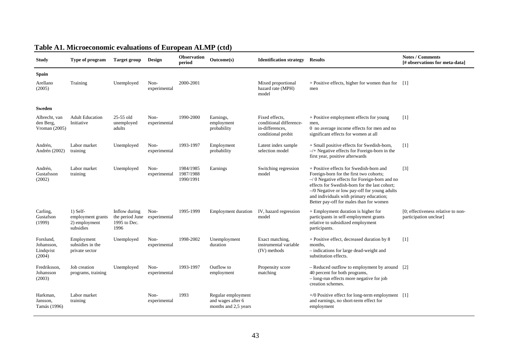| Study                                          | Type of program                                               | Target group                                             | Design               | <b>Observation</b><br>period        | Outcome(s)                                                      | <b>Identification strategy</b>                                                     | <b>Results</b>                                                                                                                                                                                                                                                                                                                   | <b>Notes / Comments</b><br>[# observations for meta-data]    |
|------------------------------------------------|---------------------------------------------------------------|----------------------------------------------------------|----------------------|-------------------------------------|-----------------------------------------------------------------|------------------------------------------------------------------------------------|----------------------------------------------------------------------------------------------------------------------------------------------------------------------------------------------------------------------------------------------------------------------------------------------------------------------------------|--------------------------------------------------------------|
| Spain                                          |                                                               |                                                          |                      |                                     |                                                                 |                                                                                    |                                                                                                                                                                                                                                                                                                                                  |                                                              |
| Arellano<br>(2005)                             | Training                                                      | Unemployed                                               | Non-<br>experimental | 2000-2001                           |                                                                 | Mixed proportional<br>hazard rate (MPH)<br>model                                   | $+$ Positive effects, higher for women than for [1]<br>men                                                                                                                                                                                                                                                                       |                                                              |
| Sweden                                         |                                                               |                                                          |                      |                                     |                                                                 |                                                                                    |                                                                                                                                                                                                                                                                                                                                  |                                                              |
| Albrecht, van<br>den Berg,<br>Vroman $(2005)$  | <b>Adult Education</b><br>Initiative                          | 25-55 old<br>unemployed<br>adults                        | Non-<br>experimental | 1990-2000                           | Earnings,<br>employment<br>probability                          | Fixed effects.<br>conditional difference-<br>in-differences.<br>conditional probit | + Positive employment effects for young<br>men,<br>0 no average income effects for men and no<br>significant effects for women at all                                                                                                                                                                                            | $\lceil 1 \rceil$                                            |
| Andrén.<br>Andrén (2002)                       | Labor market<br>training                                      | Unemployed                                               | Non-<br>experimental | 1993-1997                           | Employment<br>probability                                       | Latent index sample<br>selection model                                             | + Small positive effects for Swedish-born,<br>$-\prime$ + Negative effects for Foreign-born in the<br>first year, positive afterwards                                                                                                                                                                                            | [1]                                                          |
| Andrén.<br>Gustafsson<br>(2002)                | Labor market<br>training                                      | Unemployed                                               | Non-<br>experimental | 1984/1985<br>1987/1988<br>1990/1991 | Earnings                                                        | Switching regression<br>model                                                      | + Positive effects for Swedish-born and<br>Foreign-born for the first two cohorts;<br>$-$ / 0 Negative effects for Foreign-born and no<br>effects for Swedish-born for the last cohort;<br>$-$ /0 Negative or low pay-off for young adults<br>and individuals with primary education;<br>Better pay-off for males than for women | $\lceil 3 \rceil$                                            |
| Carling,<br>Gustafson<br>(1999)                | $1)$ Self-<br>employment grants<br>2) employment<br>subsidies | Inflow during<br>the period June<br>1995 to Dec.<br>1996 | Non-<br>experimental | 1995-1999                           | Employment duration                                             | IV, hazard regression<br>model                                                     | + Employment duration is higher for<br>participants in self-employment grants<br>relative to subsidized employment<br>participants.                                                                                                                                                                                              | [0; effectiveness relative to non-<br>participation unclear] |
| Forslund,<br>Johansson,<br>Lindqvist<br>(2004) | Employment<br>subsidies in the<br>private sector              | Unemployed                                               | Non-<br>experimental | 1998-2002                           | Unemployment<br>duration                                        | Exact matching,<br>instrumental variable<br>(IV) methods                           | + Positive effect, decreased duration by 8<br>months.<br>- indications for large dead-weight and<br>substitution effects.                                                                                                                                                                                                        | $[1]$                                                        |
| Fredriksson,<br>Johansson<br>(2003)            | Job creation<br>programs, training                            | Unemployed                                               | Non-<br>experimental | 1993-1997                           | Outflow to<br>employment                                        | Propensity score<br>matching                                                       | - Reduced outflow to employment by around [2]<br>40 percent for both programs,<br>- long-run effects more negative for job<br>creation schemes.                                                                                                                                                                                  |                                                              |
| Harkman,<br>Jansson,<br>Tamás (1996)           | Labor market<br>training                                      |                                                          | Non-<br>experimental | 1993                                | Regular employment<br>and wages after 6<br>months and 2,5 years |                                                                                    | $+/0$ Positive effect for long-term employment [1]<br>and earnings, no short-term effect for<br>employment                                                                                                                                                                                                                       |                                                              |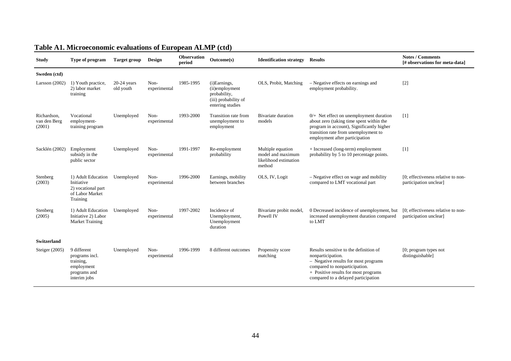| Study                                 | Type of program                                                                          | <b>Target group</b>        | <b>Design</b>        | <b>Observation</b><br>period | Outcome(s)                                                                                 | <b>Identification strategy</b>                                            | <b>Results</b>                                                                                                                                                                                                      | <b>Notes / Comments</b><br>[# observations for meta-data]    |
|---------------------------------------|------------------------------------------------------------------------------------------|----------------------------|----------------------|------------------------------|--------------------------------------------------------------------------------------------|---------------------------------------------------------------------------|---------------------------------------------------------------------------------------------------------------------------------------------------------------------------------------------------------------------|--------------------------------------------------------------|
| Sweden (ctd)                          |                                                                                          |                            |                      |                              |                                                                                            |                                                                           |                                                                                                                                                                                                                     |                                                              |
| Larsson $(2002)$                      | 1) Youth practice,<br>2) labor market<br>training                                        | $20-24$ years<br>old youth | Non-<br>experimental | 1985-1995                    | (i)Earnings,<br>(ii)employment<br>probability,<br>(iii) probability of<br>entering studies | OLS, Probit, Matching                                                     | - Negative effects on earnings and<br>employment probability.                                                                                                                                                       | $[2]$                                                        |
| Richardson.<br>van den Berg<br>(2001) | Vocational<br>employment-<br>training program                                            | Unemployed                 | Non-<br>experimental | 1993-2000                    | Transition rate from<br>unemployment to<br>employment                                      | Bivariate duration<br>models                                              | $0/+$ Net effect on unemployment duration<br>about zero (taking time spent within the<br>program in account), Significantly higher<br>transition rate from unemployment to<br>employment after participation        | $[1]$                                                        |
| Sacklén (2002)                        | Employment<br>subsidy in the<br>public sector                                            | Unemployed                 | Non-<br>experimental | 1991-1997                    | Re-employment<br>probability                                                               | Multiple equation<br>model and maximum<br>likelihood estimation<br>method | + Increased (long-term) employment<br>probability by 5 to 10 percentage points.                                                                                                                                     | $[1]$                                                        |
| Stenberg<br>(2003)                    | 1) Adult Education<br>Initiative<br>2) vocational part<br>of Labor Market<br>Training    | Unemployed                 | Non-<br>experimental | 1996-2000                    | Earnings, mobility<br>between branches                                                     | OLS, IV, Logit                                                            | - Negative effect on wage and mobility<br>compared to LMT vocational part                                                                                                                                           | [0; effectiveness relative to non-<br>participation unclear] |
| Stenberg<br>(2005)                    | 1) Adult Education<br>Initiative 2) Labor<br><b>Market Training</b>                      | Unemployed                 | Non-<br>experimental | 1997-2002                    | Incidence of<br>Unemployment,<br>Unemployment<br>duration                                  | Bivariate probit model,<br>Powell IV                                      | 0 Decreased incidence of unemployment, but<br>increased unemployment duration compared<br>to LMT                                                                                                                    | [0; effectiveness relative to non-<br>participation unclear] |
| Switzerland                           |                                                                                          |                            |                      |                              |                                                                                            |                                                                           |                                                                                                                                                                                                                     |                                                              |
| Steiger $(2005)$                      | 9 different<br>programs incl.<br>training,<br>employment<br>programs and<br>interim jobs | Unemployed                 | Non-<br>experimental | 1996-1999                    | 8 different outcomes                                                                       | Propensity score<br>matching                                              | Results sensitive to the definition of<br>nonparticipation.<br>- Negative results for most programs<br>compared to nonparticipation.<br>+ Positive results for most programs<br>compared to a delayed participation | $[0;$ program types not<br>distinguishable]                  |